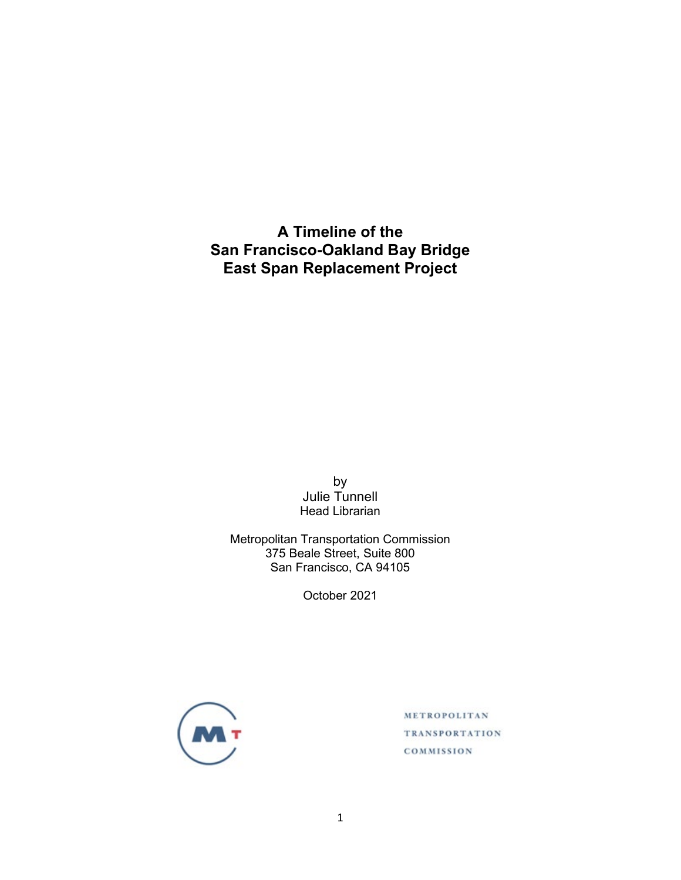**A Timeline of the San Francisco-Oakland Bay Bridge East Span Replacement Project**

> by Julie Tunnell Head Librarian

Metropolitan Transportation Commission 375 Beale Street, Suite 800 San Francisco, CA 94105

October 2021



METROPOLITAN **TRANSPORTATION** COMMISSION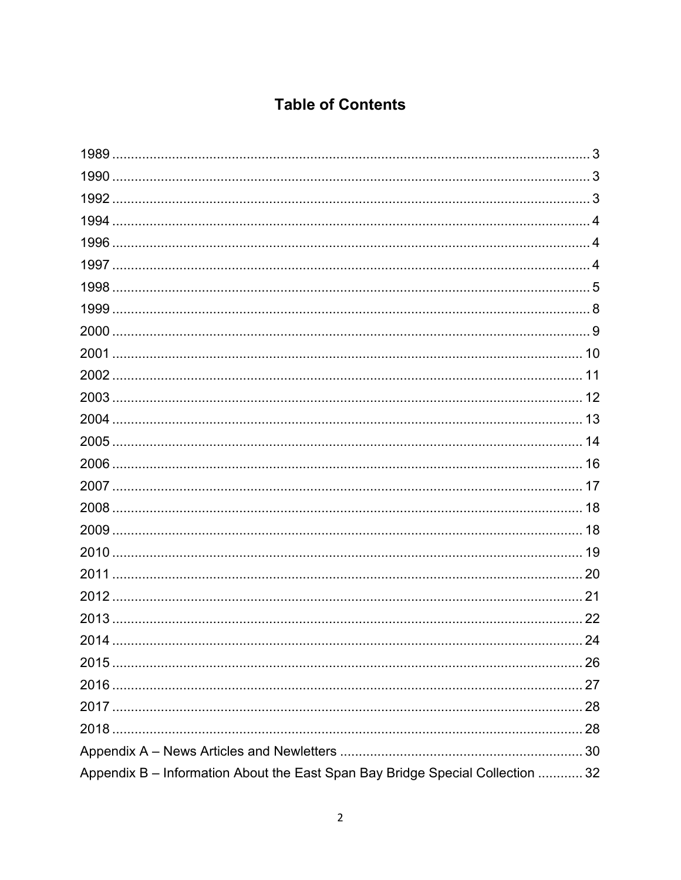## **Table of Contents**

|                                                                                | 22 |
|--------------------------------------------------------------------------------|----|
| 2014                                                                           | 24 |
|                                                                                |    |
|                                                                                |    |
|                                                                                |    |
|                                                                                |    |
|                                                                                |    |
| Appendix B - Information About the East Span Bay Bridge Special Collection  32 |    |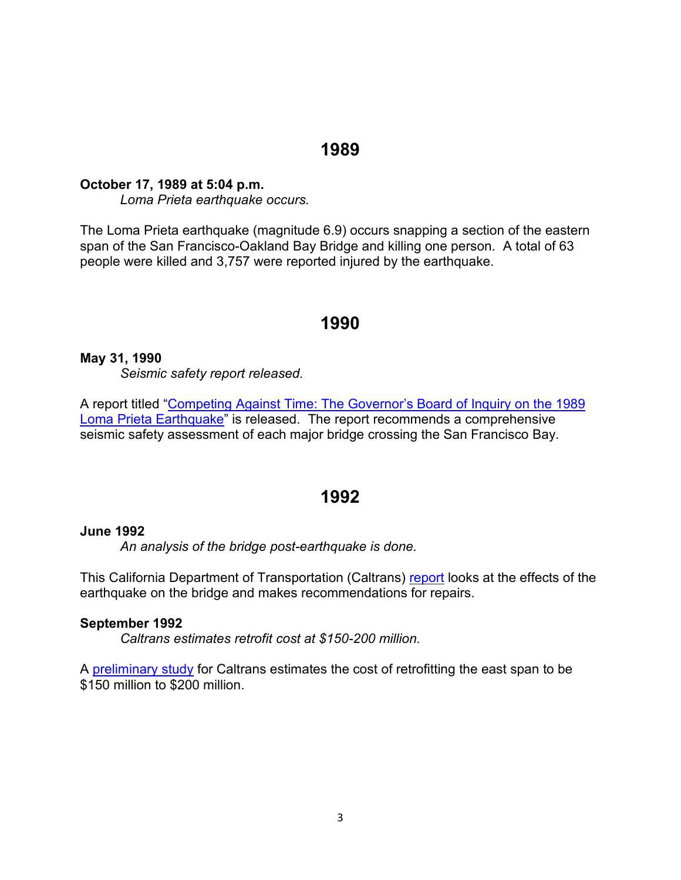## **1989**

### **October 17, 1989 at 5:04 p.m.**

*Loma Prieta earthquake occurs.*

The Loma Prieta earthquake (magnitude 6.9) occurs snapping a section of the eastern span of the San Francisco-Oakland Bay Bridge and killing one person. A total of 63 people were killed and 3,757 were reported injured by the earthquake.

## **1990**

## **May 31, 1990**

*Seismic safety report released.*

A report titled ["Competing Against Time: The Governor's Board of Inquiry on the 1989](http://libraryarchives.metro.net/DPGTL/harvested/1990-competing-against-time-inquiry-on-loma-prieta-earthquake.pdf)  [Loma Prieta Earthquake"](http://libraryarchives.metro.net/DPGTL/harvested/1990-competing-against-time-inquiry-on-loma-prieta-earthquake.pdf) is released. The report recommends a comprehensive seismic safety assessment of each major bridge crossing the San Francisco Bay.

## **1992**

### **June 1992**

*An analysis of the bridge post-earthquake is done.*

This California Department of Transportation (Caltrans) [report](http://files.mtc.ca.gov/library/pub/non/19212.pdf) looks at the effects of the earthquake on the bridge and makes recommendations for repairs.

### **September 1992**

*Caltrans estimates retrofit cost at \$150-200 million.*

A [preliminary study](http://files.mtc.ca.gov/library/pub/non/9191.pdf) for Caltrans estimates the cost of retrofitting the east span to be \$150 million to \$200 million.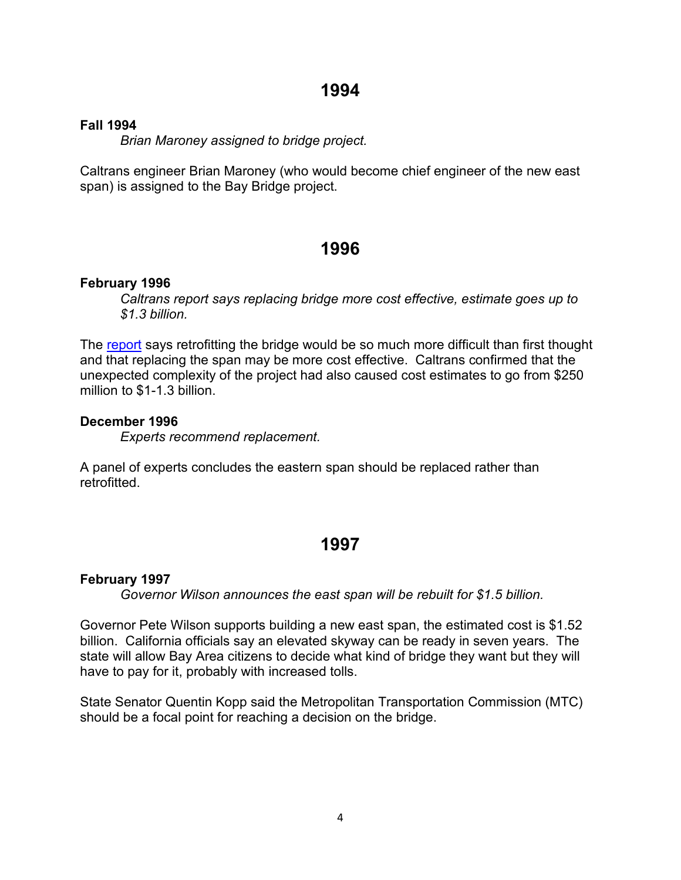### **Fall 1994**

*Brian Maroney assigned to bridge project.*

Caltrans engineer Brian Maroney (who would become chief engineer of the new east span) is assigned to the Bay Bridge project.

## **1996**

### **February 1996**

*Caltrans report says replacing bridge more cost effective, estimate goes up to \$1.3 billion.*

The [report](http://files.mtc.ca.gov/library/pub/non/3626.pdf) says retrofitting the bridge would be so much more difficult than first thought and that replacing the span may be more cost effective. Caltrans confirmed that the unexpected complexity of the project had also caused cost estimates to go from \$250 million to \$1-1.3 billion.

### **December 1996**

*Experts recommend replacement.*

A panel of experts concludes the eastern span should be replaced rather than retrofitted.

## **1997**

### **February 1997**

*Governor Wilson announces the east span will be rebuilt for \$1.5 billion.*

Governor Pete Wilson supports building a new east span, the estimated cost is \$1.52 billion. California officials say an elevated skyway can be ready in seven years. The state will allow Bay Area citizens to decide what kind of bridge they want but they will have to pay for it, probably with increased tolls.

State Senator Quentin Kopp said the Metropolitan Transportation Commission (MTC) should be a focal point for reaching a decision on the bridge.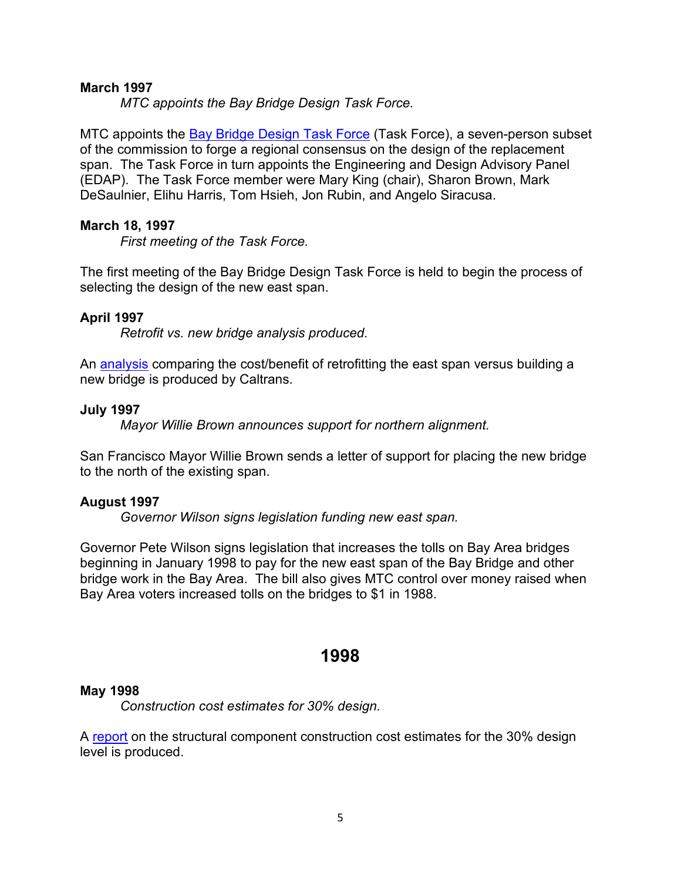### **March 1997**

*MTC appoints the Bay Bridge Design Task Force.*

MTC appoints the [Bay Bridge Design Task Force](http://files.mtc.ca.gov/library/pub/47440.pdf) (Task Force), a seven-person subset of the commission to forge a regional consensus on the design of the replacement span. The Task Force in turn appoints the Engineering and Design Advisory Panel (EDAP). The Task Force member were Mary King (chair), Sharon Brown, Mark DeSaulnier, Elihu Harris, Tom Hsieh, Jon Rubin, and Angelo Siracusa.

### **March 18, 1997**

*First meeting of the Task Force.*

The first meeting of the Bay Bridge Design Task Force is held to begin the process of selecting the design of the new east span.

### **April 1997**

*Retrofit vs. new bridge analysis produced.*

An [analysis](http://files.mtc.ca.gov/library/BBC/pdf/ACCNO_000330.PDF) comparing the cost/benefit of retrofitting the east span versus building a new bridge is produced by Caltrans.

### **July 1997**

*Mayor Willie Brown announces support for northern alignment.*

San Francisco Mayor Willie Brown sends a letter of support for placing the new bridge to the north of the existing span.

### **August 1997**

*Governor Wilson signs legislation funding new east span.*

Governor Pete Wilson signs legislation that increases the tolls on Bay Area bridges beginning in January 1998 to pay for the new east span of the Bay Bridge and other bridge work in the Bay Area. The bill also gives MTC control over money raised when Bay Area voters increased tolls on the bridges to \$1 in 1988.

## **1998**

### **May 1998**

*Construction cost estimates for 30% design.*

A [report](http://files.mtc.ca.gov/library/pub/non/5251.pdf) on the structural component construction cost estimates for the 30% design level is produced.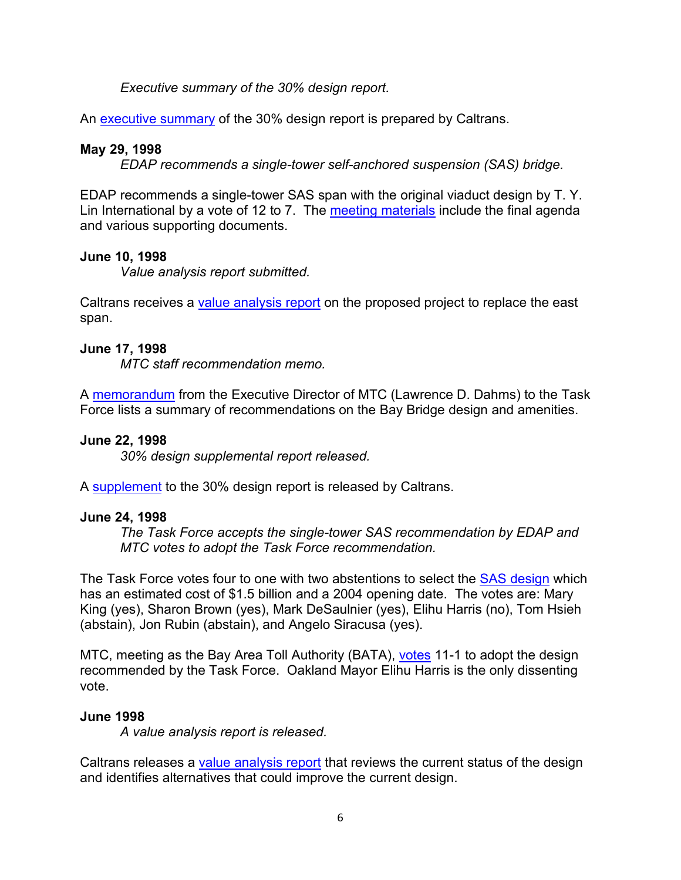*Executive summary of the 30% design report.*

An [executive summary](http://files.mtc.ca.gov/library/pub/non/12108.pdf) of the 30% design report is prepared by Caltrans.

## **May 29, 1998**

*EDAP recommends a single-tower self-anchored suspension (SAS) bridge.*

EDAP recommends a single-tower SAS span with the original viaduct design by T. Y. Lin International by a vote of 12 to 7. The [meeting materials](http://files.mtc.ca.gov/library/BBC/pdf/bbdtf_edap_19980529.pdf) include the final agenda and various supporting documents.

## **June 10, 1998**

*Value analysis report submitted.*

Caltrans receives a [value analysis report](http://files.mtc.ca.gov/library/pub/non/7223.pdf) on the proposed project to replace the east span.

## **June 17, 1998**

*MTC staff recommendation memo.*

A [memorandum](http://files.mtc.ca.gov/library/BBC/pdf/ACCNO_000172.PDF) from the Executive Director of MTC (Lawrence D. Dahms) to the Task Force lists a summary of recommendations on the Bay Bridge design and amenities.

## **June 22, 1998**

*30% design supplemental report released.*

A [supplement](https://archive.senate.ca.gov/sites/archive.senate.ca.gov/files/committees/2013-14/stran.senate.ca.gov/sites/stran.senate.ca.gov/files/Supplement%20to%20Final%2030%25%20Design%20Report/index.pdf) to the 30% design report is released by Caltrans.

## **June 24, 1998**

*The Task Force accepts the single-tower SAS recommendation by EDAP and MTC votes to adopt the Task Force recommendation.*

The Task Force votes four to one with two abstentions to select the [SAS design](http://files.mtc.ca.gov/library/pub/22199.pdf) which has an estimated cost of \$1.5 billion and a 2004 opening date. The votes are: Mary King (yes), Sharon Brown (yes), Mark DeSaulnier (yes), Elihu Harris (no), Tom Hsieh (abstain), Jon Rubin (abstain), and Angelo Siracusa (yes).

MTC, meeting as the Bay Area Toll Authority (BATA), [votes](http://files.mtc.ca.gov/library/BBC/pdf/bbdtf_bata_19980624.pdf) 11-1 to adopt the design recommended by the Task Force. Oakland Mayor Elihu Harris is the only dissenting vote.

## **June 1998**

*A value analysis report is released.*

Caltrans releases a [value analysis report](http://files.mtc.ca.gov/library/pub/non/7223.pdf) that reviews the current status of the design and identifies alternatives that could improve the current design.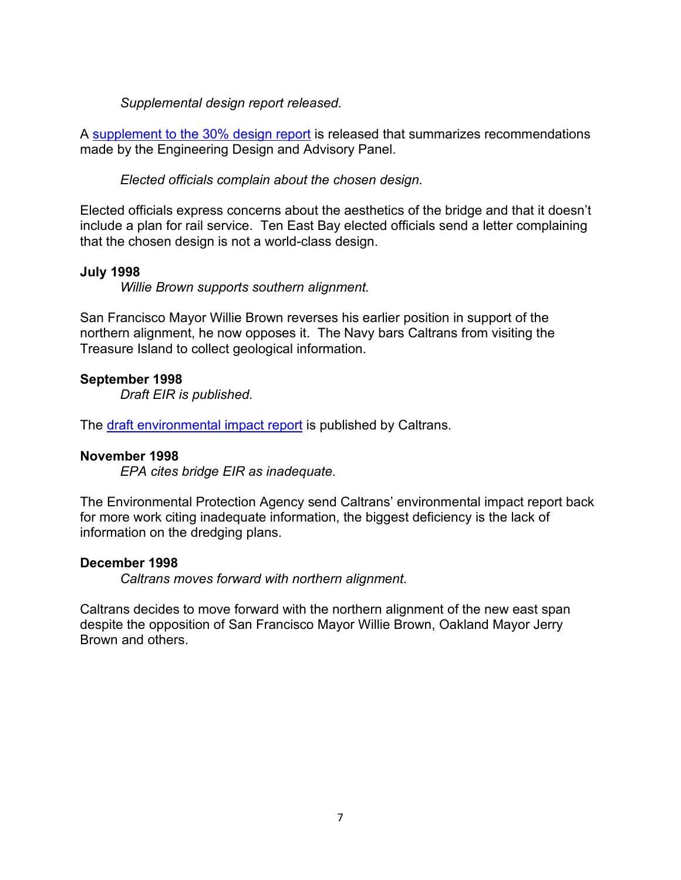*Supplemental design report released.*

A [supplement to the 30% design report](https://archive.senate.ca.gov/sites/archive.senate.ca.gov/files/committees/2013-14/stran.senate.ca.gov/sites/stran.senate.ca.gov/files/Supplement%20to%20Final%2030%25%20Design%20Report/index.pdf) is released that summarizes recommendations made by the Engineering Design and Advisory Panel.

*Elected officials complain about the chosen design.*

Elected officials express concerns about the aesthetics of the bridge and that it doesn't include a plan for rail service. Ten East Bay elected officials send a letter complaining that the chosen design is not a world-class design.

## **July 1998**

*Willie Brown supports southern alignment.*

San Francisco Mayor Willie Brown reverses his earlier position in support of the northern alignment, he now opposes it. The Navy bars Caltrans from visiting the Treasure Island to collect geological information.

## **September 1998**

*Draft EIR is published.*

The [draft environmental impact report](http://files.mtc.ca.gov/library/pub/non/23289.pdf) is published by Caltrans.

## **November 1998**

*EPA cites bridge EIR as inadequate.*

The Environmental Protection Agency send Caltrans' environmental impact report back for more work citing inadequate information, the biggest deficiency is the lack of information on the dredging plans.

## **December 1998**

*Caltrans moves forward with northern alignment.*

Caltrans decides to move forward with the northern alignment of the new east span despite the opposition of San Francisco Mayor Willie Brown, Oakland Mayor Jerry Brown and others.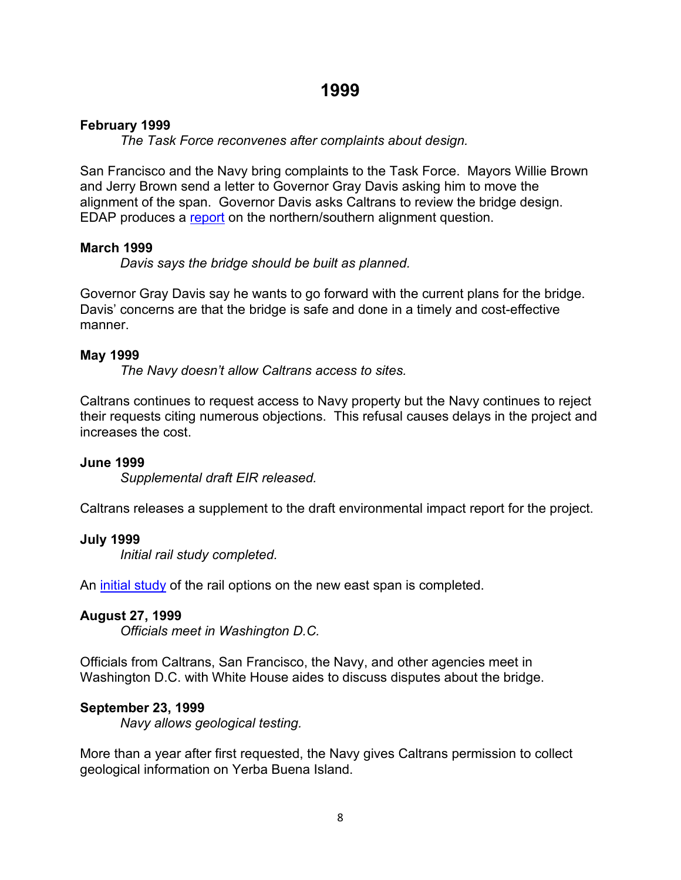## **February 1999**

*The Task Force reconvenes after complaints about design.*

San Francisco and the Navy bring complaints to the Task Force. Mayors Willie Brown and Jerry Brown send a letter to Governor Gray Davis asking him to move the alignment of the span. Governor Davis asks Caltrans to review the bridge design. EDAP produces a [report](http://files.mtc.ca.gov/library/BBC/pdf/ACCNO_000826.PDF) on the northern/southern alignment question.

## **March 1999**

*Davis says the bridge should be built as planned.*

Governor Gray Davis say he wants to go forward with the current plans for the bridge. Davis' concerns are that the bridge is safe and done in a timely and cost-effective manner.

## **May 1999**

*The Navy doesn't allow Caltrans access to sites.*

Caltrans continues to request access to Navy property but the Navy continues to reject their requests citing numerous objections. This refusal causes delays in the project and increases the cost.

## **June 1999**

*Supplemental draft EIR released.*

Caltrans releases a supplement to the draft environmental impact report for the project.

## **July 1999**

*Initial rail study completed.*

An [initial study](http://files.mtc.ca.gov/library/pub/3368.pdf) of the rail options on the new east span is completed.

## **August 27, 1999**

*Officials meet in Washington D.C.*

Officials from Caltrans, San Francisco, the Navy, and other agencies meet in Washington D.C. with White House aides to discuss disputes about the bridge.

## **September 23, 1999**

*Navy allows geological testing.*

More than a year after first requested, the Navy gives Caltrans permission to collect geological information on Yerba Buena Island.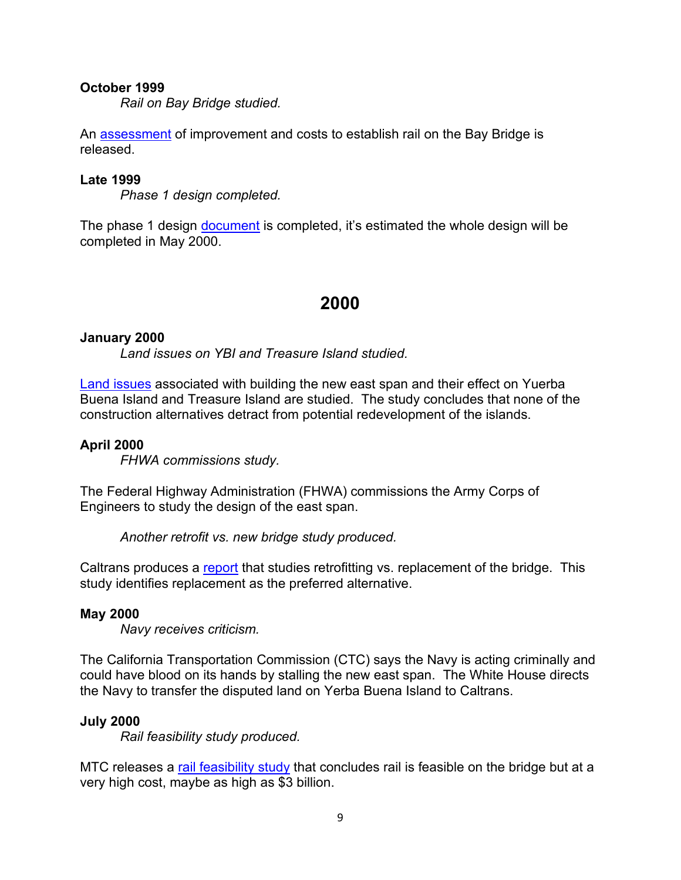### **October 1999**

*Rail on Bay Bridge studied.*

An [assessment](http://files.mtc.ca.gov/library/BBC/pdf/ACCNO_000323.PDF) of improvement and costs to establish rail on the Bay Bridge is released.

### **Late 1999**

*Phase 1 design completed.*

The phase 1 design [document](http://files.mtc.ca.gov/library/pub/non/5254.pdf) is completed, it's estimated the whole design will be completed in May 2000.

## **2000**

### **January 2000**

*Land issues on YBI and Treasure Island studied.*

[Land issues](http://files.mtc.ca.gov/library/pub/non/16255.pdf) associated with building the new east span and their effect on Yuerba Buena Island and Treasure Island are studied. The study concludes that none of the construction alternatives detract from potential redevelopment of the islands.

### **April 2000**

*FHWA commissions study.*

The Federal Highway Administration (FHWA) commissions the Army Corps of Engineers to study the design of the east span.

*Another retrofit vs. new bridge study produced.*

Caltrans produces a [report](http://files.mtc.ca.gov/library/pub/non/16250.pdf) that studies retrofitting vs. replacement of the bridge. This study identifies replacement as the preferred alternative.

### **May 2000**

*Navy receives criticism.*

The California Transportation Commission (CTC) says the Navy is acting criminally and could have blood on its hands by stalling the new east span. The White House directs the Navy to transfer the disputed land on Yerba Buena Island to Caltrans.

### **July 2000**

*Rail feasibility study produced.*

MTC releases a [rail feasibility study](http://files.mtc.ca.gov/library/BBC/pdf/ACCNO_000069.PDF) that concludes rail is feasible on the bridge but at a very high cost, maybe as high as \$3 billion.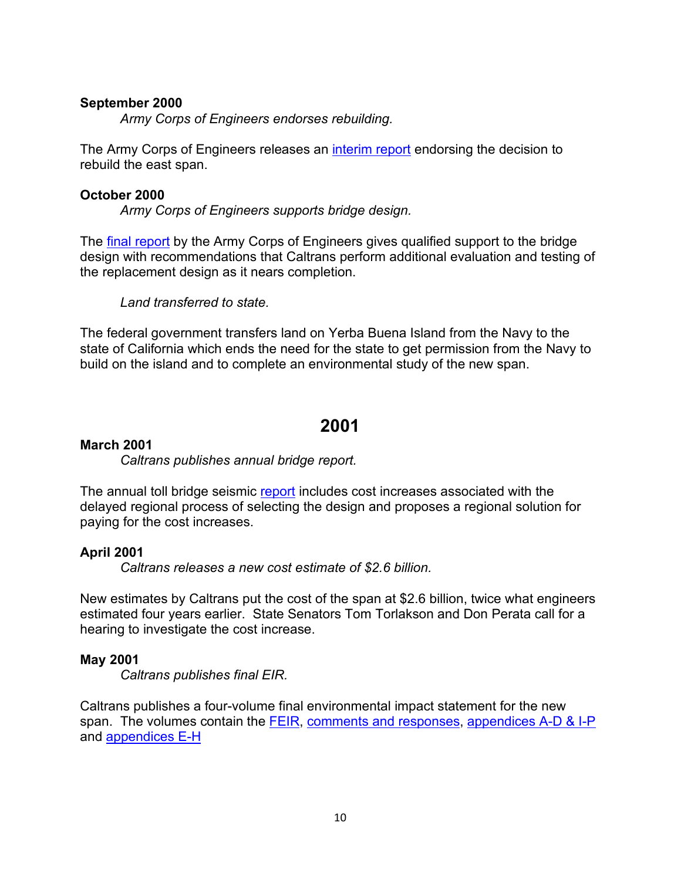### **September 2000**

*Army Corps of Engineers endorses rebuilding.*

The Army Corps of Engineers releases an [interim report](http://files.mtc.ca.gov/library/pub/non/6058.pdf) endorsing the decision to rebuild the east span.

### **October 2000**

*Army Corps of Engineers supports bridge design.*

The [final report](http://files.mtc.ca.gov/library/pub/non/8135.pdf) by the Army Corps of Engineers gives qualified support to the bridge design with recommendations that Caltrans perform additional evaluation and testing of the replacement design as it nears completion.

*Land transferred to state.*

The federal government transfers land on Yerba Buena Island from the Navy to the state of California which ends the need for the state to get permission from the Navy to build on the island and to complete an environmental study of the new span.

## **2001**

### **March 2001**

*Caltrans publishes annual bridge report.*

The annual toll bridge seismic [report](http://files.mtc.ca.gov/library/BBC/pdf/ACCNO_000074.PDF) includes cost increases associated with the delayed regional process of selecting the design and proposes a regional solution for paying for the cost increases.

## **April 2001**

*Caltrans releases a new cost estimate of \$2.6 billion.*

New estimates by Caltrans put the cost of the span at \$2.6 billion, twice what engineers estimated four years earlier. State Senators Tom Torlakson and Don Perata call for a hearing to investigate the cost increase.

## **May 2001**

*Caltrans publishes final EIR.*

Caltrans publishes a four-volume final environmental impact statement for the new span. The volumes contain the [FEIR,](http://files.mtc.ca.gov/library/pub/non/16123_1.pdf) [comments and responses,](http://files.mtc.ca.gov/library/pub/non/16123_2.pdf) [appendices](http://files.mtc.ca.gov/library/pub/non/16123_3.pdf) A-D & I-P and [appendices](http://files.mtc.ca.gov/library/pub/non/16123_4.pdf) E-H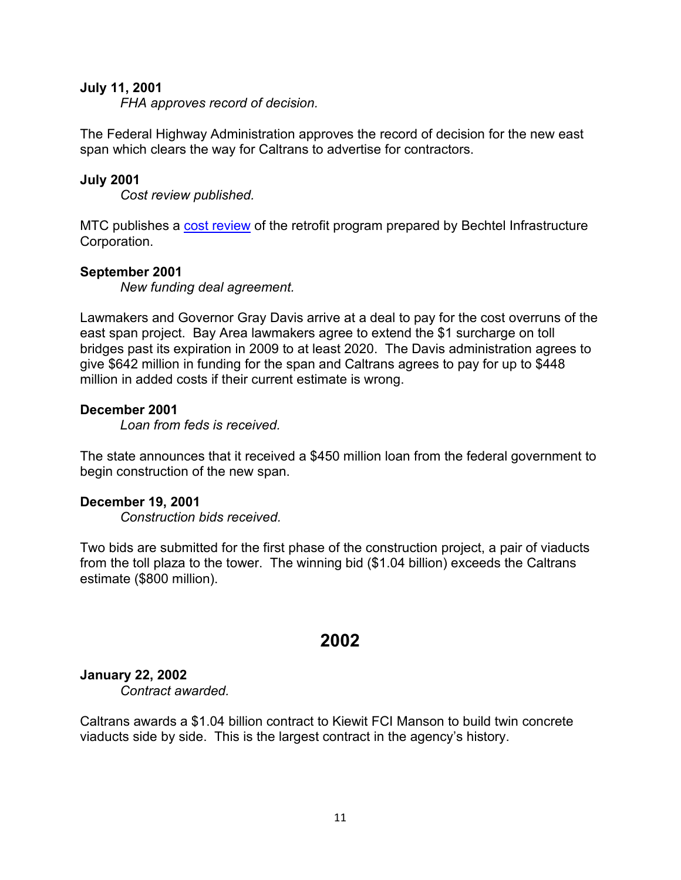### **July 11, 2001**

*FHA approves record of decision.*

The Federal Highway Administration approves the record of decision for the new east span which clears the way for Caltrans to advertise for contractors.

### **July 2001**

*Cost review published.*

MTC publishes a [cost review](http://files.mtc.ca.gov/library/pub/24043.pdf) of the retrofit program prepared by Bechtel Infrastructure Corporation.

### **September 2001**

*New funding deal agreement.*

Lawmakers and Governor Gray Davis arrive at a deal to pay for the cost overruns of the east span project. Bay Area lawmakers agree to extend the \$1 surcharge on toll bridges past its expiration in 2009 to at least 2020. The Davis administration agrees to give \$642 million in funding for the span and Caltrans agrees to pay for up to \$448 million in added costs if their current estimate is wrong.

### **December 2001**

*Loan from feds is received.*

The state announces that it received a \$450 million loan from the federal government to begin construction of the new span.

### **December 19, 2001**

*Construction bids received.*

Two bids are submitted for the first phase of the construction project, a pair of viaducts from the toll plaza to the tower. The winning bid (\$1.04 billion) exceeds the Caltrans estimate (\$800 million).

## **2002**

### **January 22, 2002**

*Contract awarded.*

Caltrans awards a \$1.04 billion contract to Kiewit FCI Manson to build twin concrete viaducts side by side. This is the largest contract in the agency's history.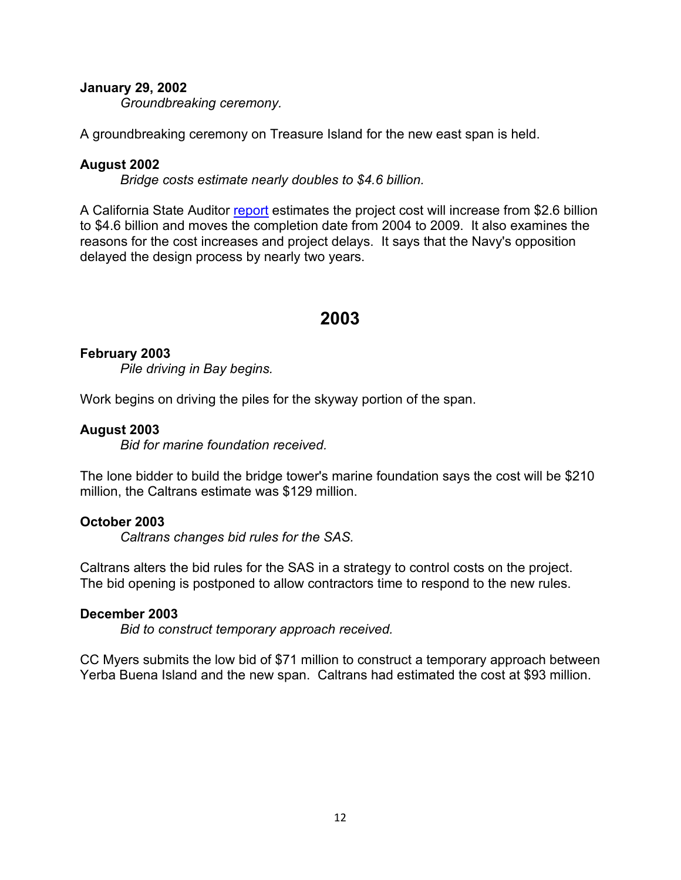### **January 29, 2002**

*Groundbreaking ceremony.*

A groundbreaking ceremony on Treasure Island for the new east span is held.

### **August 2002**

*Bridge costs estimate nearly doubles to \$4.6 billion.*

A California State Auditor [report](http://www.bsa.ca.gov/pdfs/reports/2001-122.pdf) estimates the project cost will increase from \$2.6 billion to \$4.6 billion and moves the completion date from 2004 to 2009. It also examines the reasons for the cost increases and project delays. It says that the Navy's opposition delayed the design process by nearly two years.

## **2003**

### **February 2003**

*Pile driving in Bay begins.*

Work begins on driving the piles for the skyway portion of the span.

### **August 2003**

*Bid for marine foundation received.*

The lone bidder to build the bridge tower's marine foundation says the cost will be \$210 million, the Caltrans estimate was \$129 million.

### **October 2003**

*Caltrans changes bid rules for the SAS.*

Caltrans alters the bid rules for the SAS in a strategy to control costs on the project. The bid opening is postponed to allow contractors time to respond to the new rules.

### **December 2003**

*Bid to construct temporary approach received.*

CC Myers submits the low bid of \$71 million to construct a temporary approach between Yerba Buena Island and the new span. Caltrans had estimated the cost at \$93 million.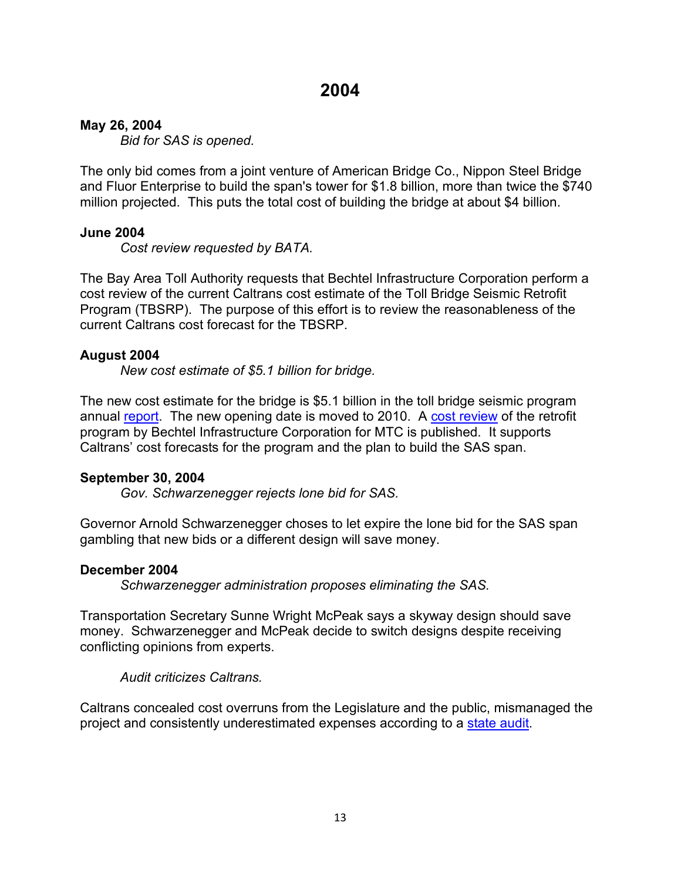### **May 26, 2004**

*Bid for SAS is opened.*

The only bid comes from a joint venture of American Bridge Co., Nippon Steel Bridge and Fluor Enterprise to build the span's tower for \$1.8 billion, more than twice the \$740 million projected. This puts the total cost of building the bridge at about \$4 billion.

### **June 2004**

*Cost review requested by BATA.*

The Bay Area Toll Authority requests that Bechtel Infrastructure Corporation perform a cost review of the current Caltrans cost estimate of the Toll Bridge Seismic Retrofit Program (TBSRP). The purpose of this effort is to review the reasonableness of the current Caltrans cost forecast for the TBSRP.

### **August 2004**

*New cost estimate of \$5.1 billion for bridge.*

The new cost estimate for the bridge is \$5.1 billion in the toll bridge seismic program annual [report.](http://files.mtc.ca.gov/library/BBC/pdf/ACCNO_000193.PDF) The new opening date is moved to 2010. A [cost review](http://files.mtc.ca.gov/library/pub/8545.pdf) of the retrofit program by Bechtel Infrastructure Corporation for MTC is published. It supports Caltrans' cost forecasts for the program and the plan to build the SAS span.

### **September 30, 2004**

*Gov. Schwarzenegger rejects lone bid for SAS.*

Governor Arnold Schwarzenegger choses to let expire the lone bid for the SAS span gambling that new bids or a different design will save money.

### **December 2004**

*Schwarzenegger administration proposes eliminating the SAS.*

Transportation Secretary Sunne Wright McPeak says a skyway design should save money. Schwarzenegger and McPeak decide to switch designs despite receiving conflicting opinions from experts.

*Audit criticizes Caltrans.*

Caltrans concealed cost overruns from the Legislature and the public, mismanaged the project and consistently underestimated expenses according to a [state audit.](http://www.bsa.ca.gov/pdfs/reports/2004-140.pdf)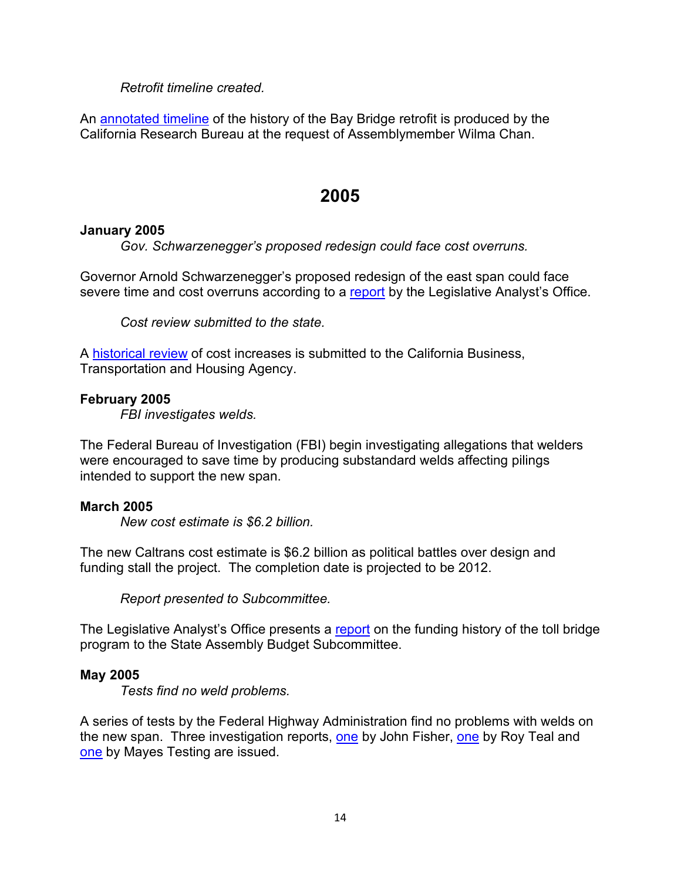## *Retrofit timeline created.*

An [annotated timeline](https://web.archive.org/web/20051103181024/http:/www.library.ca.gov/CRB/04/13/04-013.pdf) of the history of the Bay Bridge retrofit is produced by the California Research Bureau at the request of Assemblymember Wilma Chan.

## **2005**

## **January 2005**

*Gov. Schwarzenegger's proposed redesign could face cost overruns.*

Governor Arnold Schwarzenegger's proposed redesign of the east span could face severe time and cost overruns according to a [report](https://lao.ca.gov/2005/toll_bridge/toll_bridges_012405.pdf) by the Legislative Analyst's Office.

*Cost review submitted to the state.*

A [historical review](http://files.mtc.ca.gov/library/pub/non/8065.pdf) of cost increases is submitted to the California Business, Transportation and Housing Agency.

## **February 2005**

*FBI investigates welds.*

The Federal Bureau of Investigation (FBI) begin investigating allegations that welders were encouraged to save time by producing substandard welds affecting pilings intended to support the new span.

## **March 2005**

*New cost estimate is \$6.2 billion.*

The new Caltrans cost estimate is \$6.2 billion as political battles over design and funding stall the project. The completion date is projected to be 2012.

*Report presented to Subcommittee.*

The Legislative Analyst's Office presents a [report](http://files.mtc.ca.gov/library/BBC/pdf/ACCNO_000205.PDF) on the funding history of the toll bridge program to the State Assembly Budget Subcommittee.

## **May 2005**

*Tests find no weld problems.*

A series of tests by the Federal Highway Administration find no problems with welds on the new span. Three investigation reports, [one](https://www.fhwa.dot.gov/reports/irsfobb/roy_teal_final_report_05-03-05.pdf) by John Fisher, one by Roy Teal and [one](http://files.mtc.ca.gov/library/pub/non/11877.pdf) by Mayes Testing are issued.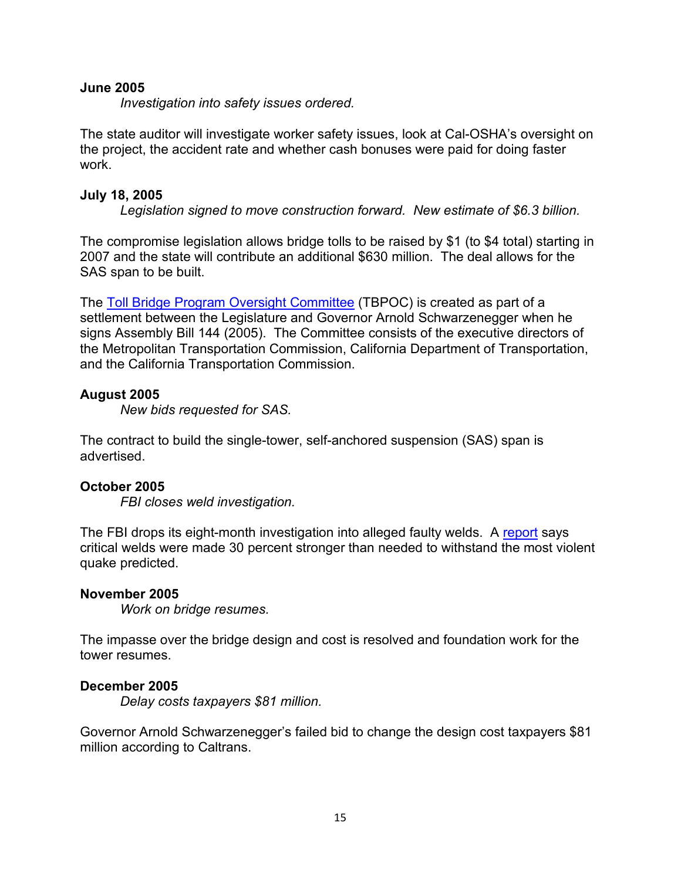### **June 2005**

*Investigation into safety issues ordered.*

The state auditor will investigate worker safety issues, look at Cal-OSHA's oversight on the project, the accident rate and whether cash bonuses were paid for doing faster work.

### **July 18, 2005**

*Legislation signed to move construction forward. New estimate of \$6.3 billion.*

The compromise legislation allows bridge tolls to be raised by \$1 (to \$4 total) starting in 2007 and the state will contribute an additional \$630 million. The deal allows for the SAS span to be built.

The [Toll Bridge Program Oversight Committee](http://files.mtc.ca.gov/library/pub/47718.pdf) (TBPOC) is created as part of a settlement between the Legislature and Governor Arnold Schwarzenegger when he signs Assembly Bill 144 (2005). The Committee consists of the executive directors of the Metropolitan Transportation Commission, California Department of Transportation, and the California Transportation Commission.

## **August 2005**

*New bids requested for SAS.*

The contract to build the single-tower, self-anchored suspension (SAS) span is advertised.

## **October 2005**

*FBI closes weld investigation.*

The FBI drops its eight-month investigation into alleged faulty welds. A [report](http://files.mtc.ca.gov/library/pub/non/12629.pdf) says critical welds were made 30 percent stronger than needed to withstand the most violent quake predicted.

## **November 2005**

*Work on bridge resumes.*

The impasse over the bridge design and cost is resolved and foundation work for the tower resumes.

## **December 2005**

*Delay costs taxpayers \$81 million.*

Governor Arnold Schwarzenegger's failed bid to change the design cost taxpayers \$81 million according to Caltrans.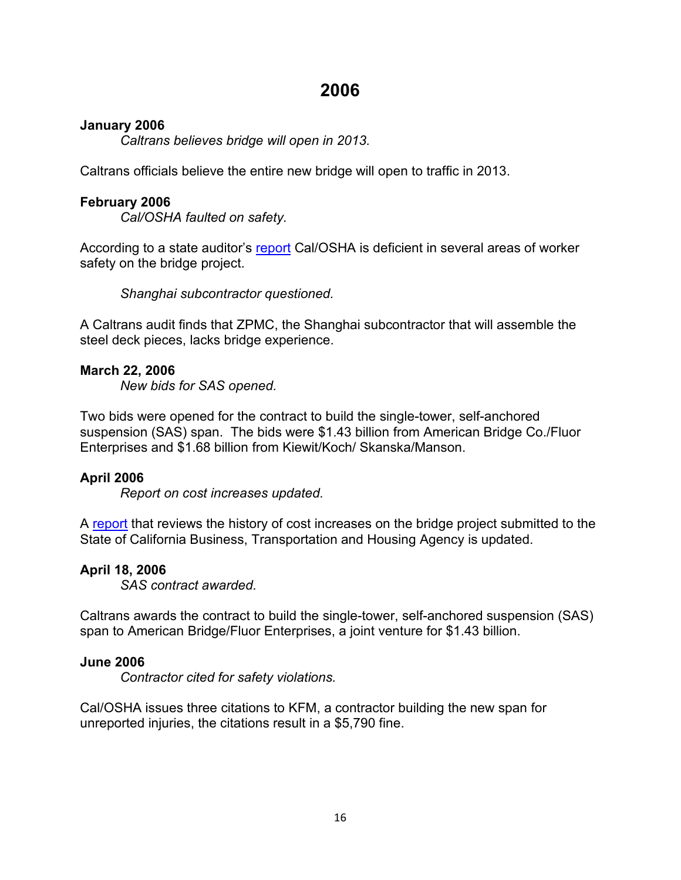## **2006**

## **January 2006**

*Caltrans believes bridge will open in 2013.*

Caltrans officials believe the entire new bridge will open to traffic in 2013.

## **February 2006**

*Cal/OSHA faulted on safety.*

According to a state auditor's [report](https://www.bsa.ca.gov/pdfs/reports/2005-119.pdf) Cal/OSHA is deficient in several areas of worker safety on the bridge project.

*Shanghai subcontractor questioned.*

A Caltrans audit finds that ZPMC, the Shanghai subcontractor that will assemble the steel deck pieces, lacks bridge experience.

### **March 22, 2006**

*New bids for SAS opened.*

Two bids were opened for the contract to build the single-tower, self-anchored suspension (SAS) span. The bids were \$1.43 billion from American Bridge Co./Fluor Enterprises and \$1.68 billion from Kiewit/Koch/ Skanska/Manson.

## **April 2006**

*Report on cost increases updated.*

A [report](http://files.mtc.ca.gov/library/pub/non/28401.pdf) that reviews the history of cost increases on the bridge project submitted to the State of California Business, Transportation and Housing Agency is updated.

## **April 18, 2006**

*SAS contract awarded.*

Caltrans awards the contract to build the single-tower, self-anchored suspension (SAS) span to American Bridge/Fluor Enterprises, a joint venture for \$1.43 billion.

### **June 2006**

*Contractor cited for safety violations.*

Cal/OSHA issues three citations to KFM, a contractor building the new span for unreported injuries, the citations result in a \$5,790 fine.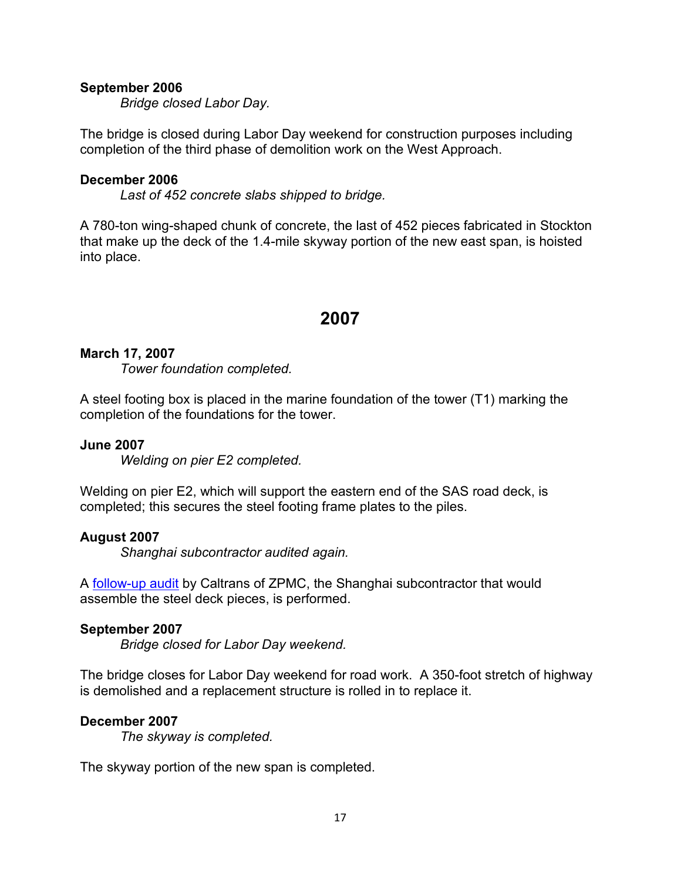### **September 2006**

*Bridge closed Labor Day.*

The bridge is closed during Labor Day weekend for construction purposes including completion of the third phase of demolition work on the West Approach.

### **December 2006**

*Last of 452 concrete slabs shipped to bridge.*

A 780-ton wing-shaped chunk of concrete, the last of 452 pieces fabricated in Stockton that make up the deck of the 1.4-mile skyway portion of the new east span, is hoisted into place.

## **2007**

### **March 17, 2007**

*Tower foundation completed.*

A steel footing box is placed in the marine foundation of the tower (T1) marking the completion of the foundations for the tower.

### **June 2007**

*Welding on pier E2 completed.*

Welding on pier E2, which will support the eastern end of the SAS road deck, is completed; this secures the steel footing frame plates to the piles.

## **August 2007**

*Shanghai subcontractor audited again.*

A [follow-up audit](http://files.mtc.ca.gov/library/pub/non/47966.pdf) by Caltrans of ZPMC, the Shanghai subcontractor that would assemble the steel deck pieces, is performed.

### **September 2007**

*Bridge closed for Labor Day weekend.*

The bridge closes for Labor Day weekend for road work. A 350-foot stretch of highway is demolished and a replacement structure is rolled in to replace it.

## **December 2007**

*The skyway is completed.*

The skyway portion of the new span is completed.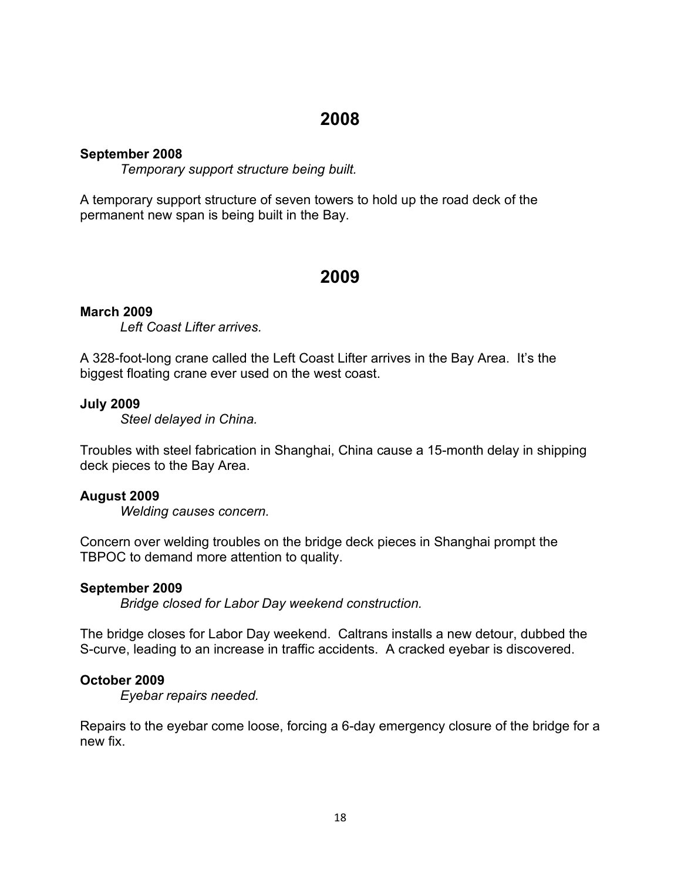## **2008**

## **September 2008**

*Temporary support structure being built.*

A temporary support structure of seven towers to hold up the road deck of the permanent new span is being built in the Bay.

## **2009**

## **March 2009**

*Left Coast Lifter arrives.*

A 328-foot-long crane called the Left Coast Lifter arrives in the Bay Area. It's the biggest floating crane ever used on the west coast.

### **July 2009**

*Steel delayed in China.*

Troubles with steel fabrication in Shanghai, China cause a 15-month delay in shipping deck pieces to the Bay Area.

### **August 2009**

*Welding causes concern.*

Concern over welding troubles on the bridge deck pieces in Shanghai prompt the TBPOC to demand more attention to quality.

### **September 2009**

*Bridge closed for Labor Day weekend construction.*

The bridge closes for Labor Day weekend. Caltrans installs a new detour, dubbed the S-curve, leading to an increase in traffic accidents. A cracked eyebar is discovered.

## **October 2009**

*Eyebar repairs needed.*

Repairs to the eyebar come loose, forcing a 6-day emergency closure of the bridge for a new fix.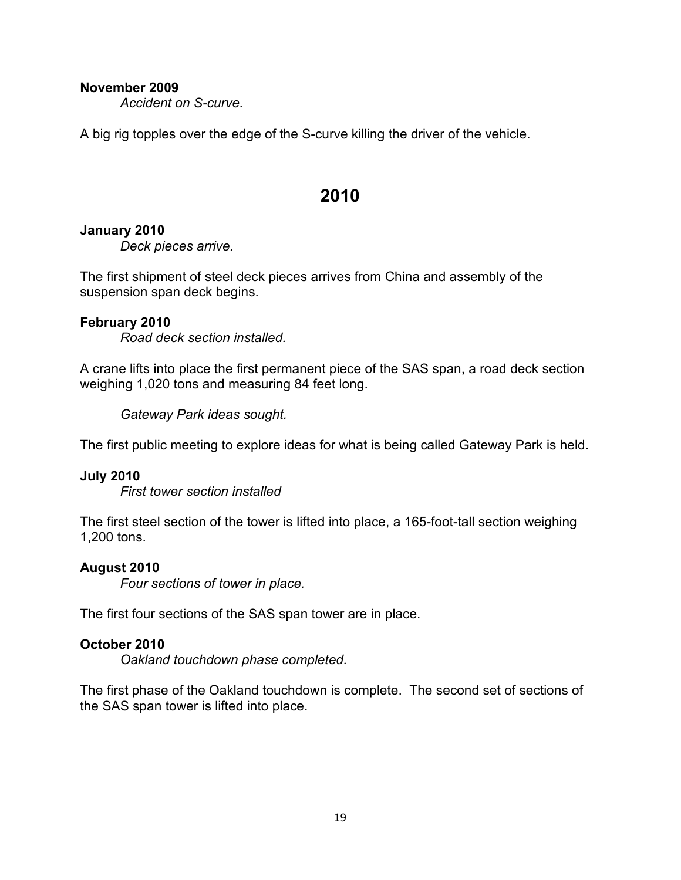### **November 2009**

*Accident on S-curve.*

A big rig topples over the edge of the S-curve killing the driver of the vehicle.

## **2010**

### **January 2010**

*Deck pieces arrive.*

The first shipment of steel deck pieces arrives from China and assembly of the suspension span deck begins.

### **February 2010**

*Road deck section installed.*

A crane lifts into place the first permanent piece of the SAS span, a road deck section weighing 1,020 tons and measuring 84 feet long.

*Gateway Park ideas sought.*

The first public meeting to explore ideas for what is being called Gateway Park is held.

### **July 2010**

*First tower section installed*

The first steel section of the tower is lifted into place, a 165-foot-tall section weighing 1,200 tons.

## **August 2010**

*Four sections of tower in place.*

The first four sections of the SAS span tower are in place.

### **October 2010**

*Oakland touchdown phase completed.*

The first phase of the Oakland touchdown is complete. The second set of sections of the SAS span tower is lifted into place.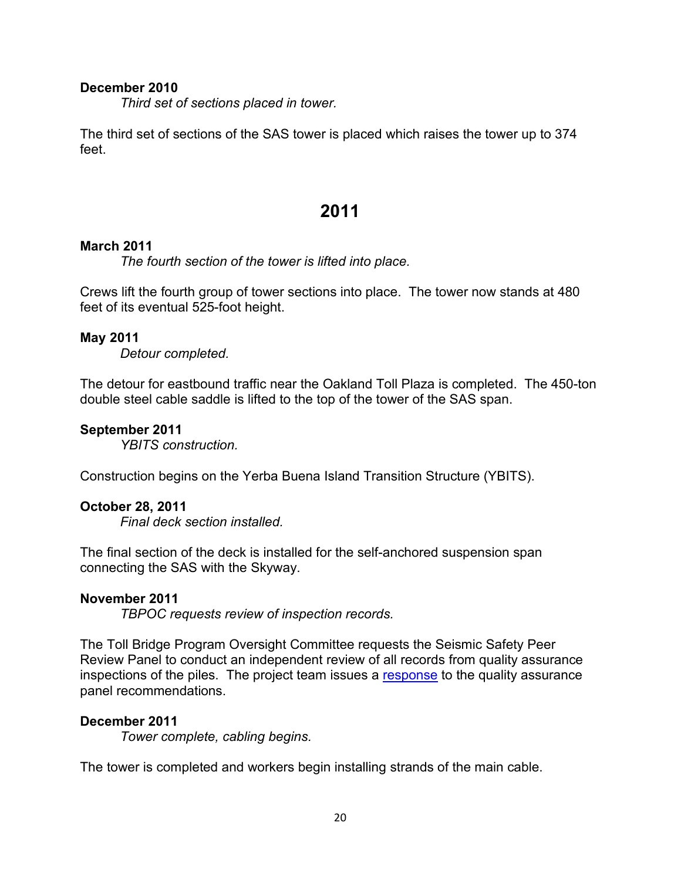### **December 2010**

*Third set of sections placed in tower.*

The third set of sections of the SAS tower is placed which raises the tower up to 374 feet.

## **2011**

### **March 2011**

*The fourth section of the tower is lifted into place.*

Crews lift the fourth group of tower sections into place. The tower now stands at 480 feet of its eventual 525-foot height.

#### **May 2011**

*Detour completed.*

The detour for eastbound traffic near the Oakland Toll Plaza is completed. The 450-ton double steel cable saddle is lifted to the top of the tower of the SAS span.

### **September 2011**

*YBITS construction.*

Construction begins on the Yerba Buena Island Transition Structure (YBITS).

### **October 28, 2011**

*Final deck section installed.*

The final section of the deck is installed for the self-anchored suspension span connecting the SAS with the Skyway.

#### **November 2011**

*TBPOC requests review of inspection records.*

The Toll Bridge Program Oversight Committee requests the Seismic Safety Peer Review Panel to conduct an independent review of all records from quality assurance inspections of the piles. The project team issues a [response](http://files.mtc.ca.gov/library/pub/28602.pdf) to the quality assurance panel recommendations.

### **December 2011**

*Tower complete, cabling begins.*

The tower is completed and workers begin installing strands of the main cable.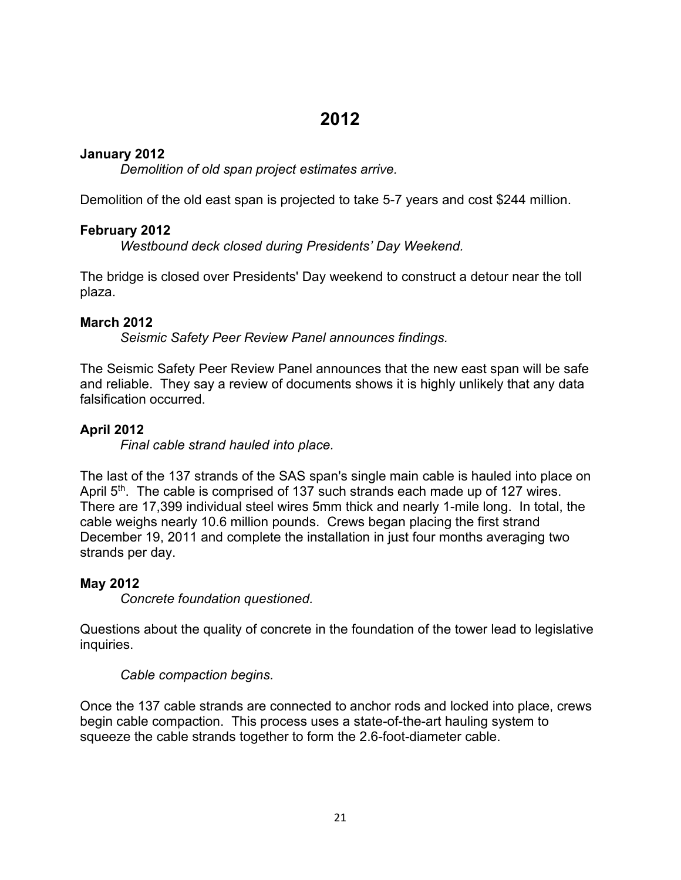## **2012**

## **January 2012**

*Demolition of old span project estimates arrive.*

Demolition of the old east span is projected to take 5-7 years and cost \$244 million.

## **February 2012**

*Westbound deck closed during Presidents' Day Weekend.*

The bridge is closed over Presidents' Day weekend to construct a detour near the toll plaza.

## **March 2012**

*Seismic Safety Peer Review Panel announces findings.*

The Seismic Safety Peer Review Panel announces that the new east span will be safe and reliable. They say a review of documents shows it is highly unlikely that any data falsification occurred.

## **April 2012**

*Final cable strand hauled into place.*

The last of the 137 strands of the SAS span's single main cable is hauled into place on April  $5<sup>th</sup>$ . The cable is comprised of 137 such strands each made up of 127 wires. There are 17,399 individual steel wires 5mm thick and nearly 1-mile long. In total, the cable weighs nearly 10.6 million pounds. Crews began placing the first strand December 19, 2011 and complete the installation in just four months averaging two strands per day.

## **May 2012**

*Concrete foundation questioned.*

Questions about the quality of concrete in the foundation of the tower lead to legislative inquiries.

## *Cable compaction begins.*

Once the 137 cable strands are connected to anchor rods and locked into place, crews begin cable compaction. This process uses a state-of-the-art hauling system to squeeze the cable strands together to form the 2.6-foot-diameter cable.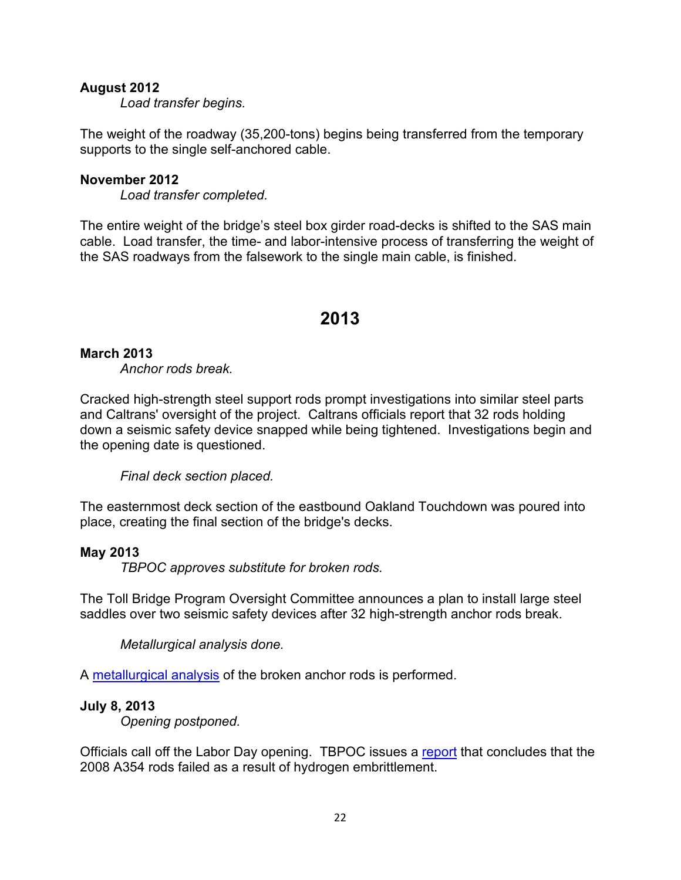## **August 2012**

*Load transfer begins.*

The weight of the roadway (35,200-tons) begins being transferred from the temporary supports to the single self-anchored cable.

#### **November 2012**

*Load transfer completed.*

The entire weight of the bridge's steel box girder road-decks is shifted to the SAS main cable. Load transfer, the time- and labor-intensive process of transferring the weight of the SAS roadways from the falsework to the single main cable, is finished.

## **2013**

### **March 2013**

*Anchor rods break.*

Cracked high-strength steel support rods prompt investigations into similar steel parts and Caltrans' oversight of the project. Caltrans officials report that 32 rods holding down a seismic safety device snapped while being tightened. Investigations begin and the opening date is questioned.

*Final deck section placed.*

The easternmost deck section of the eastbound Oakland Touchdown was poured into place, creating the final section of the bridge's decks.

#### **May 2013**

*TBPOC approves substitute for broken rods.*

The Toll Bridge Program Oversight Committee announces a plan to install large steel saddles over two seismic safety devices after 32 high-strength anchor rods break.

*Metallurgical analysis done.*

A [metallurgical analysis](http://files.mtc.ca.gov/library/pub/non/28402.pdf) of the broken anchor rods is performed.

#### **July 8, 2013**

*Opening postponed.*

Officials call off the Labor Day opening. TBPOC issues a [report](http://files.mtc.ca.gov/library/pub/28415_01.pdf) that concludes that the 2008 A354 rods failed as a result of hydrogen embrittlement.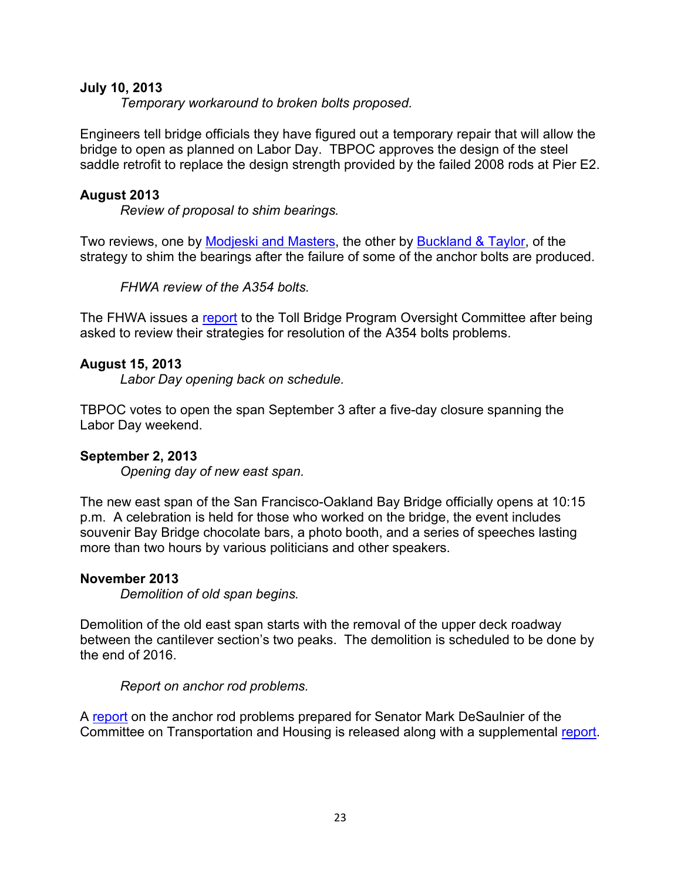## **July 10, 2013**

*Temporary workaround to broken bolts proposed.*

Engineers tell bridge officials they have figured out a temporary repair that will allow the bridge to open as planned on Labor Day. TBPOC approves the design of the steel saddle retrofit to replace the design strength provided by the failed 2008 rods at Pier E2.

## **August 2013**

*Review of proposal to shim bearings.*

Two reviews, one by [Modjeski and Masters,](http://files.mtc.ca.gov/library/pub/28433.pdf) the other by [Buckland & Taylor,](http://files.mtc.ca.gov/library/pub/28434.pdf) of the strategy to shim the bearings after the failure of some of the anchor bolts are produced.

*FHWA review of the A354 bolts.*

The FHWA issues a [report](http://files.mtc.ca.gov/library/pub/28435.pdf) to the Toll Bridge Program Oversight Committee after being asked to review their strategies for resolution of the A354 bolts problems.

## **August 15, 2013**

*Labor Day opening back on schedule.*

TBPOC votes to open the span September 3 after a five-day closure spanning the Labor Day weekend.

## **September 2, 2013**

*Opening day of new east span.*

The new east span of the San Francisco-Oakland Bay Bridge officially opens at 10:15 p.m. A celebration is held for those who worked on the bridge, the event includes souvenir Bay Bridge chocolate bars, a photo booth, and a series of speeches lasting more than two hours by various politicians and other speakers.

### **November 2013**

*Demolition of old span begins.*

Demolition of the old east span starts with the removal of the upper deck roadway between the cantilever section's two peaks. The demolition is scheduled to be done by the end of 2016.

*Report on anchor rod problems.*

A [report](http://files.mtc.ca.gov/library/pub/non/28553.pdf) on the anchor rod problems prepared for Senator Mark DeSaulnier of the Committee on Transportation and Housing is released along with a supplemental [report.](http://files.mtc.ca.gov/library/pub/non/28554.pdf)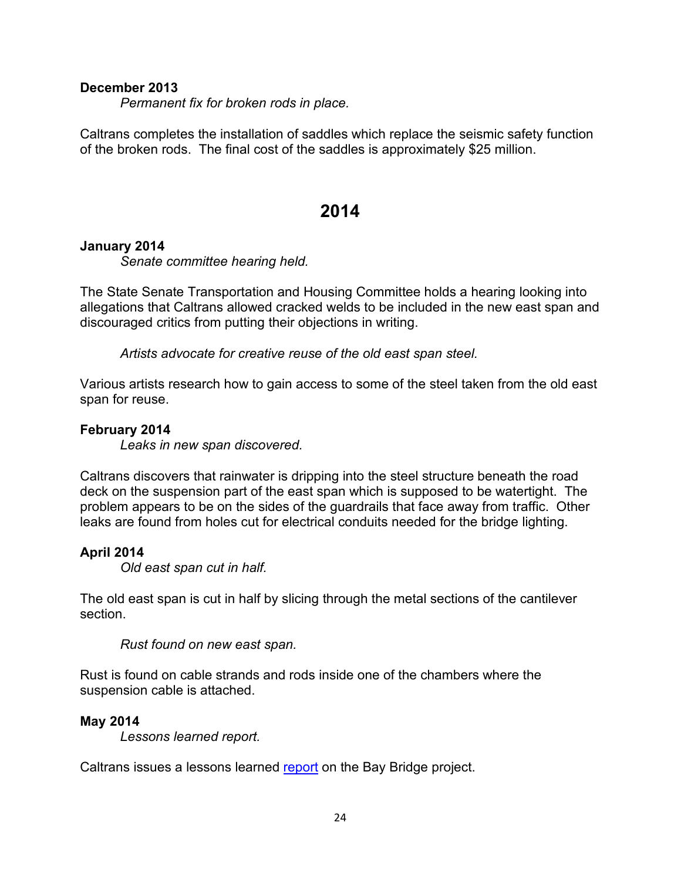### **December 2013**

*Permanent fix for broken rods in place.*

Caltrans completes the installation of saddles which replace the seismic safety function of the broken rods. The final cost of the saddles is approximately \$25 million.

## **2014**

### **January 2014**

*Senate committee hearing held.*

The State Senate Transportation and Housing Committee holds a hearing looking into allegations that Caltrans allowed cracked welds to be included in the new east span and discouraged critics from putting their objections in writing.

*Artists advocate for creative reuse of the old east span steel.*

Various artists research how to gain access to some of the steel taken from the old east span for reuse.

### **February 2014**

*Leaks in new span discovered.*

Caltrans discovers that rainwater is dripping into the steel structure beneath the road deck on the suspension part of the east span which is supposed to be watertight. The problem appears to be on the sides of the guardrails that face away from traffic. Other leaks are found from holes cut for electrical conduits needed for the bridge lighting.

## **April 2014**

*Old east span cut in half.*

The old east span is cut in half by slicing through the metal sections of the cantilever section.

*Rust found on new east span.*

Rust is found on cable strands and rods inside one of the chambers where the suspension cable is attached.

### **May 2014**

*Lessons learned report.*

Caltrans issues a lessons learned [report](http://files.mtc.ca.gov/library/pub/non/28795.pdf) on the Bay Bridge project.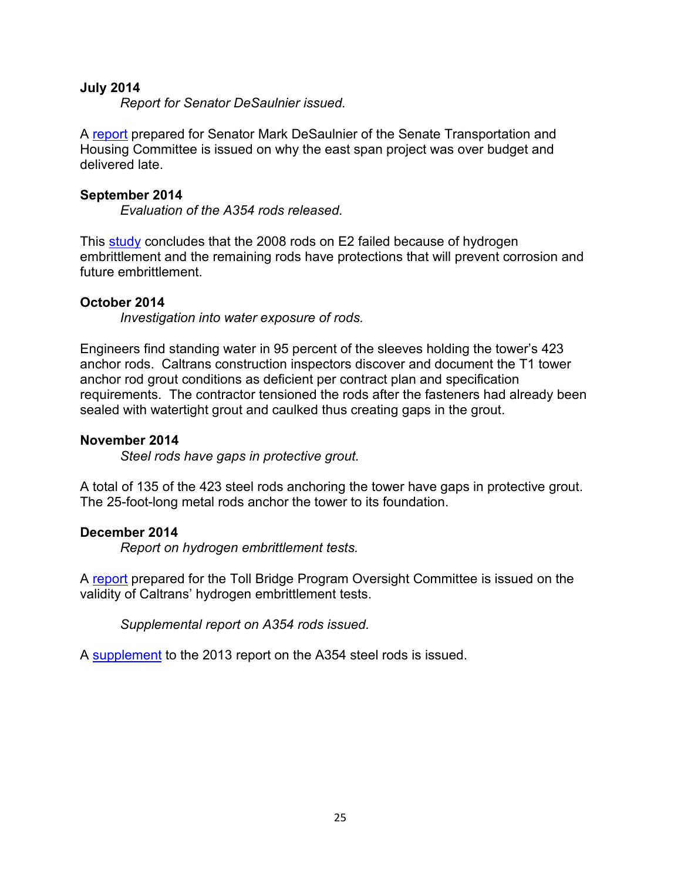### **July 2014**

*Report for Senator DeSaulnier issued.*

A [report](http://files.mtc.ca.gov/library/pub/non/28785.pdf) prepared for Senator Mark DeSaulnier of the Senate Transportation and Housing Committee is issued on why the east span project was over budget and delivered late.

### **September 2014**

*Evaluation of the A354 rods released.*

This [study](http://files.mtc.ca.gov/library/pub/28860.pdf) concludes that the 2008 rods on E2 failed because of hydrogen embrittlement and the remaining rods have protections that will prevent corrosion and future embrittlement.

### **October 2014**

*Investigation into water exposure of rods.*

Engineers find standing water in 95 percent of the sleeves holding the tower's 423 anchor rods. Caltrans construction inspectors discover and document the T1 tower anchor rod grout conditions as deficient per contract plan and specification requirements. The contractor tensioned the rods after the fasteners had already been sealed with watertight grout and caulked thus creating gaps in the grout.

### **November 2014**

*Steel rods have gaps in protective grout.*

A total of 135 of the 423 steel rods anchoring the tower have gaps in protective grout. The 25-foot-long metal rods anchor the tower to its foundation.

### **December 2014**

*Report on hydrogen embrittlement tests.*

A [report](http://files.mtc.ca.gov/library/pub/non/28945.pdf) prepared for the Toll Bridge Program Oversight Committee is issued on the validity of Caltrans' hydrogen embrittlement tests.

*Supplemental report on A354 rods issued.*

A [supplement](http://files.mtc.ca.gov/library/pub/30285.pdf) to the 2013 report on the A354 steel rods is issued.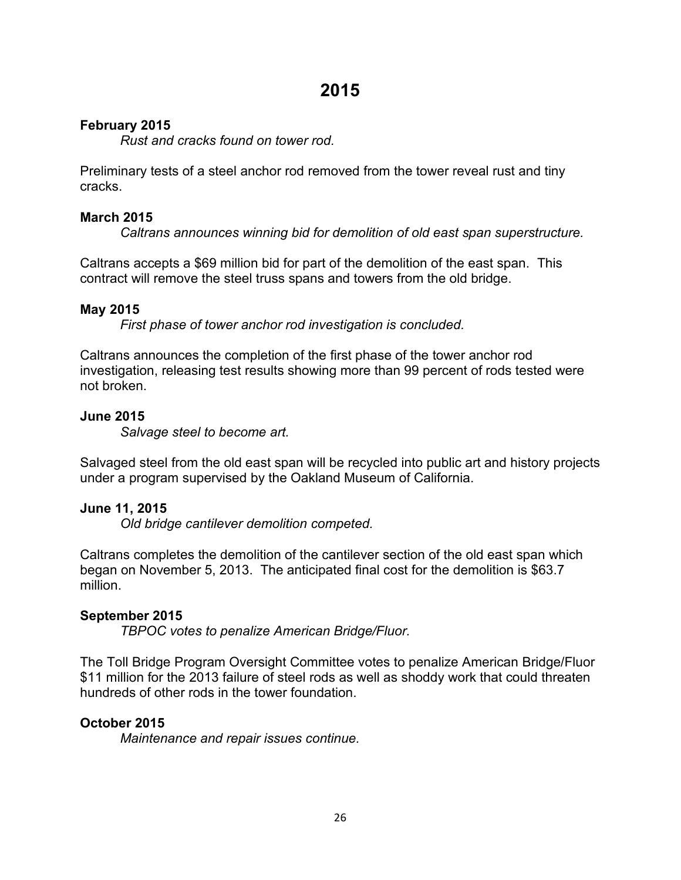## **February 2015**

*Rust and cracks found on tower rod.*

Preliminary tests of a steel anchor rod removed from the tower reveal rust and tiny cracks.

## **March 2015**

*Caltrans announces winning bid for demolition of old east span superstructure.*

Caltrans accepts a \$69 million bid for part of the demolition of the east span. This contract will remove the steel truss spans and towers from the old bridge.

## **May 2015**

*First phase of tower anchor rod investigation is concluded.*

Caltrans announces the completion of the first phase of the tower anchor rod investigation, releasing test results showing more than 99 percent of rods tested were not broken.

## **June 2015**

*Salvage steel to become art.*

Salvaged steel from the old east span will be recycled into public art and history projects under a program supervised by the Oakland Museum of California.

## **June 11, 2015**

*Old bridge cantilever demolition competed.*

Caltrans completes the demolition of the cantilever section of the old east span which began on November 5, 2013. The anticipated final cost for the demolition is \$63.7 million.

## **September 2015**

*TBPOC votes to penalize American Bridge/Fluor.*

The Toll Bridge Program Oversight Committee votes to penalize American Bridge/Fluor \$11 million for the 2013 failure of steel rods as well as shoddy work that could threaten hundreds of other rods in the tower foundation.

## **October 2015**

*Maintenance and repair issues continue.*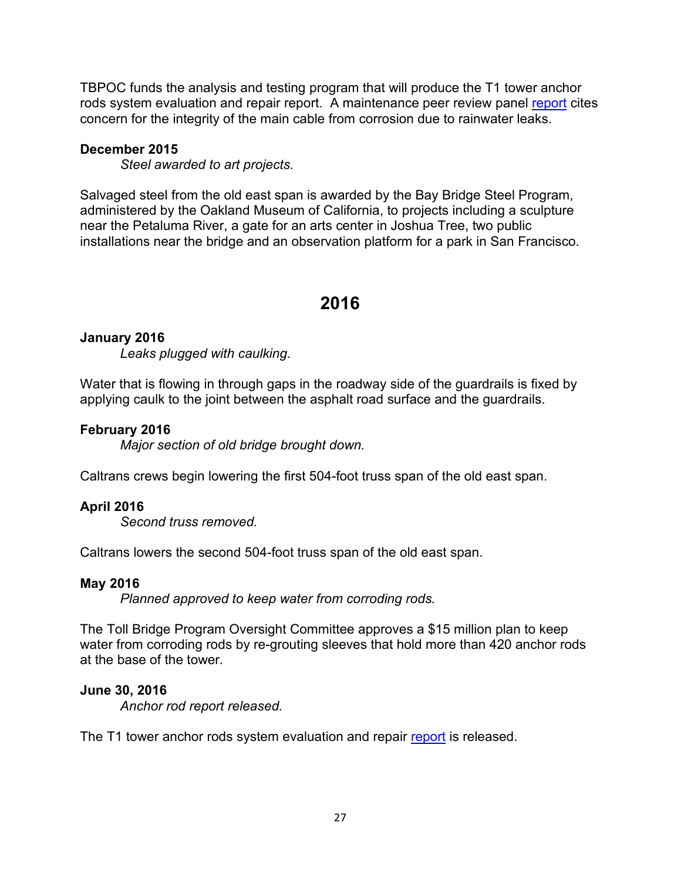TBPOC funds the analysis and testing program that will produce the T1 tower anchor rods system evaluation and repair [report](http://files.mtc.ca.gov/library/pub/29188.pdf). A maintenance peer review panel report cites concern for the integrity of the main cable from corrosion due to rainwater leaks.

### **December 2015**

*Steel awarded to art projects.*

Salvaged steel from the old east span is awarded by the Bay Bridge Steel Program, administered by the Oakland Museum of California, to projects including a sculpture near the Petaluma River, a gate for an arts center in Joshua Tree, two public installations near the bridge and an observation platform for a park in San Francisco.

## **2016**

## **January 2016**

*Leaks plugged with caulking.*

Water that is flowing in through gaps in the roadway side of the guardrails is fixed by applying caulk to the joint between the asphalt road surface and the guardrails.

### **February 2016**

*Major section of old bridge brought down.*

Caltrans crews begin lowering the first 504-foot truss span of the old east span.

## **April 2016**

*Second truss removed.*

Caltrans lowers the second 504-foot truss span of the old east span.

### **May 2016**

*Planned approved to keep water from corroding rods.*

The Toll Bridge Program Oversight Committee approves a \$15 million plan to keep water from corroding rods by re-grouting sleeves that hold more than 420 anchor rods at the base of the tower.

## **June 30, 2016**

*Anchor rod report released.*

The T1 tower anchor rods system evaluation and repair [report](http://files.mtc.ca.gov/library/pub/30278.pdf) is released.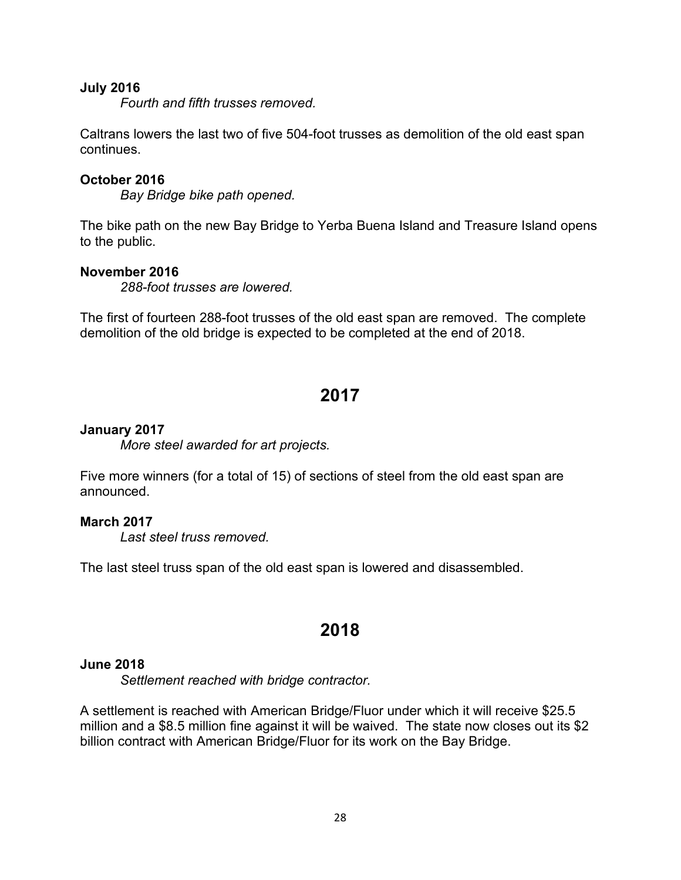### **July 2016**

*Fourth and fifth trusses removed.*

Caltrans lowers the last two of five 504-foot trusses as demolition of the old east span continues.

### **October 2016**

*Bay Bridge bike path opened.*

The bike path on the new Bay Bridge to Yerba Buena Island and Treasure Island opens to the public.

### **November 2016**

*288-foot trusses are lowered.*

The first of fourteen 288-foot trusses of the old east span are removed. The complete demolition of the old bridge is expected to be completed at the end of 2018.

## **2017**

### **January 2017**

*More steel awarded for art projects.*

Five more winners (for a total of 15) of sections of steel from the old east span are announced.

### **March 2017**

*Last steel truss removed.*

The last steel truss span of the old east span is lowered and disassembled.

## **2018**

### **June 2018**

*Settlement reached with bridge contractor.*

A settlement is reached with American Bridge/Fluor under which it will receive \$25.5 million and a \$8.5 million fine against it will be waived. The state now closes out its \$2 billion contract with American Bridge/Fluor for its work on the Bay Bridge.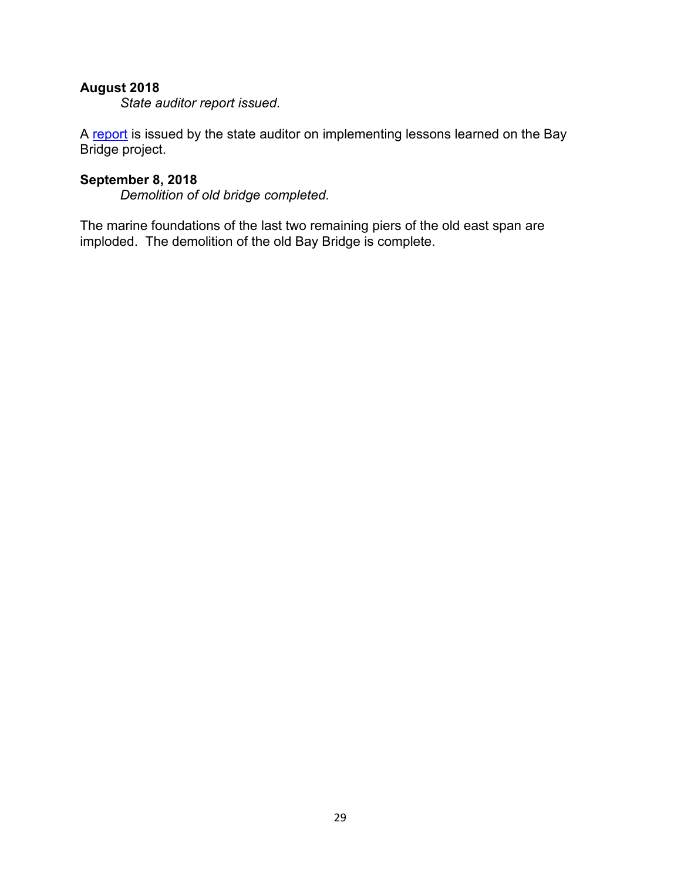## **August 2018**

*State auditor report issued.*

A [report](https://www.bsa.ca.gov/pdfs/reports/2018-104.pdf) is issued by the state auditor on implementing lessons learned on the Bay Bridge project.

## **September 8, 2018**

*Demolition of old bridge completed.*

The marine foundations of the last two remaining piers of the old east span are imploded. The demolition of the old Bay Bridge is complete.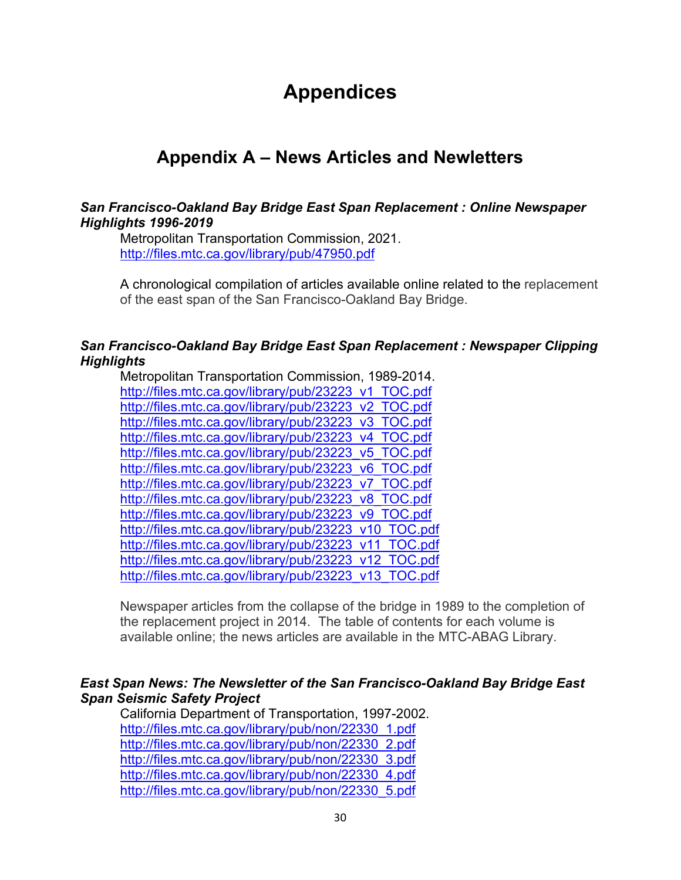# **Appendices**

# **Appendix A – News Articles and Newletters**

## *San Francisco-Oakland Bay Bridge East Span Replacement : Online Newspaper Highlights 1996-2019*

Metropolitan Transportation Commission, 2021. <http://files.mtc.ca.gov/library/pub/47950.pdf>

A chronological compilation of articles available online related to the replacement of the east span of the San Francisco-Oakland Bay Bridge.

## *San Francisco-Oakland Bay Bridge East Span Replacement : Newspaper Clipping Highlights*

Metropolitan Transportation Commission, 1989-2014. [http://files.mtc.ca.gov/library/pub/23223\\_v1\\_TOC.pdf](http://files.mtc.ca.gov/library/pub/23223_v1_TOC.pdf) [http://files.mtc.ca.gov/library/pub/23223\\_v2\\_TOC.pdf](http://files.mtc.ca.gov/library/pub/23223_v2_TOC.pdf) [http://files.mtc.ca.gov/library/pub/23223\\_v3\\_TOC.pdf](http://files.mtc.ca.gov/library/pub/23223_v3_TOC.pdf) [http://files.mtc.ca.gov/library/pub/23223\\_v4\\_TOC.pdf](http://files.mtc.ca.gov/library/pub/23223_v4_TOC.pdf) [http://files.mtc.ca.gov/library/pub/23223\\_v5\\_TOC.pdf](http://files.mtc.ca.gov/library/pub/23223_v5_TOC.pdf) [http://files.mtc.ca.gov/library/pub/23223\\_v6\\_TOC.pdf](http://files.mtc.ca.gov/library/pub/23223_v6_TOC.pdf) [http://files.mtc.ca.gov/library/pub/23223\\_v7\\_TOC.pdf](http://files.mtc.ca.gov/library/pub/23223_v7_TOC.pdf) [http://files.mtc.ca.gov/library/pub/23223\\_v8\\_TOC.pdf](http://files.mtc.ca.gov/library/pub/23223_v8_TOC.pdf) [http://files.mtc.ca.gov/library/pub/23223\\_v9\\_TOC.pdf](http://files.mtc.ca.gov/library/pub/23223_v9_TOC.pdf) [http://files.mtc.ca.gov/library/pub/23223\\_v10\\_TOC.pdf](http://files.mtc.ca.gov/library/pub/23223_v10_TOC.pdf) [http://files.mtc.ca.gov/library/pub/23223\\_v11\\_TOC.pdf](http://files.mtc.ca.gov/library/pub/23223_v11_TOC.pdf) [http://files.mtc.ca.gov/library/pub/23223\\_v12\\_TOC.pdf](http://files.mtc.ca.gov/library/pub/23223_v12_TOC.pdf) [http://files.mtc.ca.gov/library/pub/23223\\_v13\\_TOC.pdf](http://files.mtc.ca.gov/library/pub/23223_v13_TOC.pdf)

Newspaper articles from the collapse of the bridge in 1989 to the completion of the replacement project in 2014. The table of contents for each volume is available online; the news articles are available in the MTC-ABAG Library.

## *East Span News: The Newsletter of the San Francisco-Oakland Bay Bridge East Span Seismic Safety Project*

California Department of Transportation, 1997-2002. [http://files.mtc.ca.gov/library/pub/non/22330\\_1.pdf](http://files.mtc.ca.gov/library/pub/non/22330_1.pdf) [http://files.mtc.ca.gov/library/pub/non/22330\\_2.pdf](http://files.mtc.ca.gov/library/pub/non/22330_2.pdf) [http://files.mtc.ca.gov/library/pub/non/22330\\_3.pdf](http://files.mtc.ca.gov/library/pub/non/22330_3.pdf) [http://files.mtc.ca.gov/library/pub/non/22330\\_4.pdf](http://files.mtc.ca.gov/library/pub/non/22330_4.pdf) [http://files.mtc.ca.gov/library/pub/non/22330\\_5.pdf](http://files.mtc.ca.gov/library/pub/non/22330_5.pdf)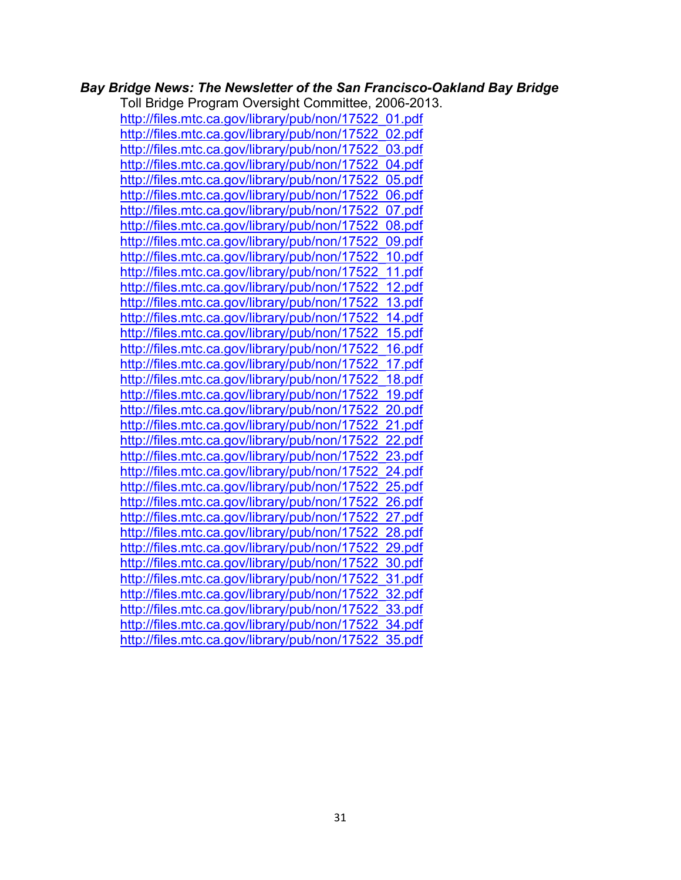## *Bay Bridge News: The Newsletter of the San Francisco-Oakland Bay Bridge*

Toll Bridge Program Oversight Committee, 2006-2013. [http://files.mtc.ca.gov/library/pub/non/17522\\_01.pdf](http://files.mtc.ca.gov/library/pub/non/17522_01.pdf) [http://files.mtc.ca.gov/library/pub/non/17522\\_02.pdf](http://files.mtc.ca.gov/library/pub/non/17522_02.pdf) [http://files.mtc.ca.gov/library/pub/non/17522\\_03.pdf](http://files.mtc.ca.gov/library/pub/non/17522_03.pdf) [http://files.mtc.ca.gov/library/pub/non/17522\\_04.pdf](http://files.mtc.ca.gov/library/pub/non/17522_04.pdf) [http://files.mtc.ca.gov/library/pub/non/17522\\_05.pdf](http://files.mtc.ca.gov/library/pub/non/17522_05.pdf) [http://files.mtc.ca.gov/library/pub/non/17522\\_06.pdf](http://files.mtc.ca.gov/library/pub/non/17522_06.pdf) [http://files.mtc.ca.gov/library/pub/non/17522\\_07.pdf](http://files.mtc.ca.gov/library/pub/non/17522_07.pdf) [http://files.mtc.ca.gov/library/pub/non/17522\\_08.pdf](http://files.mtc.ca.gov/library/pub/non/17522_08.pdf) [http://files.mtc.ca.gov/library/pub/non/17522\\_09.pdf](http://files.mtc.ca.gov/library/pub/non/17522_09.pdf) [http://files.mtc.ca.gov/library/pub/non/17522\\_10.pdf](http://files.mtc.ca.gov/library/pub/non/17522_10.pdf) [http://files.mtc.ca.gov/library/pub/non/17522\\_11.pdf](http://files.mtc.ca.gov/library/pub/non/17522_11.pdf) [http://files.mtc.ca.gov/library/pub/non/17522\\_12.pdf](http://files.mtc.ca.gov/library/pub/non/17522_12.pdf) [http://files.mtc.ca.gov/library/pub/non/17522\\_13.pdf](http://files.mtc.ca.gov/library/pub/non/17522_13.pdf) [http://files.mtc.ca.gov/library/pub/non/17522\\_14.pdf](http://files.mtc.ca.gov/library/pub/non/17522_14.pdf) [http://files.mtc.ca.gov/library/pub/non/17522\\_15.pdf](http://files.mtc.ca.gov/library/pub/non/17522_15.pdf) [http://files.mtc.ca.gov/library/pub/non/17522\\_16.pdf](http://files.mtc.ca.gov/library/pub/non/17522_16.pdf) [http://files.mtc.ca.gov/library/pub/non/17522\\_17.pdf](http://files.mtc.ca.gov/library/pub/non/17522_17.pdf) [http://files.mtc.ca.gov/library/pub/non/17522\\_18.pdf](http://files.mtc.ca.gov/library/pub/non/17522_18.pdf) [http://files.mtc.ca.gov/library/pub/non/17522\\_19.pdf](http://files.mtc.ca.gov/library/pub/non/17522_19.pdf) [http://files.mtc.ca.gov/library/pub/non/17522\\_20.pdf](http://files.mtc.ca.gov/library/pub/non/17522_20.pdf) [http://files.mtc.ca.gov/library/pub/non/17522\\_21.pdf](http://files.mtc.ca.gov/library/pub/non/17522_21.pdf) [http://files.mtc.ca.gov/library/pub/non/17522\\_22.pdf](http://files.mtc.ca.gov/library/pub/non/17522_22.pdf) [http://files.mtc.ca.gov/library/pub/non/17522\\_23.pdf](http://files.mtc.ca.gov/library/pub/non/17522_23.pdf) [http://files.mtc.ca.gov/library/pub/non/17522\\_24.pdf](http://files.mtc.ca.gov/library/pub/non/17522_24.pdf) [http://files.mtc.ca.gov/library/pub/non/17522\\_25.pdf](http://files.mtc.ca.gov/library/pub/non/17522_25.pdf) [http://files.mtc.ca.gov/library/pub/non/17522\\_26.pdf](http://files.mtc.ca.gov/library/pub/non/17522_26.pdf) [http://files.mtc.ca.gov/library/pub/non/17522\\_27.pdf](http://files.mtc.ca.gov/library/pub/non/17522_27.pdf) [http://files.mtc.ca.gov/library/pub/non/17522\\_28.pdf](http://files.mtc.ca.gov/library/pub/non/17522_28.pdf) [http://files.mtc.ca.gov/library/pub/non/17522\\_29.pdf](http://files.mtc.ca.gov/library/pub/non/17522_29.pdf) [http://files.mtc.ca.gov/library/pub/non/17522\\_30.pdf](http://files.mtc.ca.gov/library/pub/non/17522_30.pdf) [http://files.mtc.ca.gov/library/pub/non/17522\\_31.pdf](http://files.mtc.ca.gov/library/pub/non/17522_31.pdf) [http://files.mtc.ca.gov/library/pub/non/17522\\_32.pdf](http://files.mtc.ca.gov/library/pub/non/17522_32.pdf) [http://files.mtc.ca.gov/library/pub/non/17522\\_33.pdf](http://files.mtc.ca.gov/library/pub/non/17522_33.pdf) [http://files.mtc.ca.gov/library/pub/non/17522\\_34.pdf](http://files.mtc.ca.gov/library/pub/non/17522_34.pdf) [http://files.mtc.ca.gov/library/pub/non/17522\\_35.pdf](http://files.mtc.ca.gov/library/pub/non/17522_35.pdf)